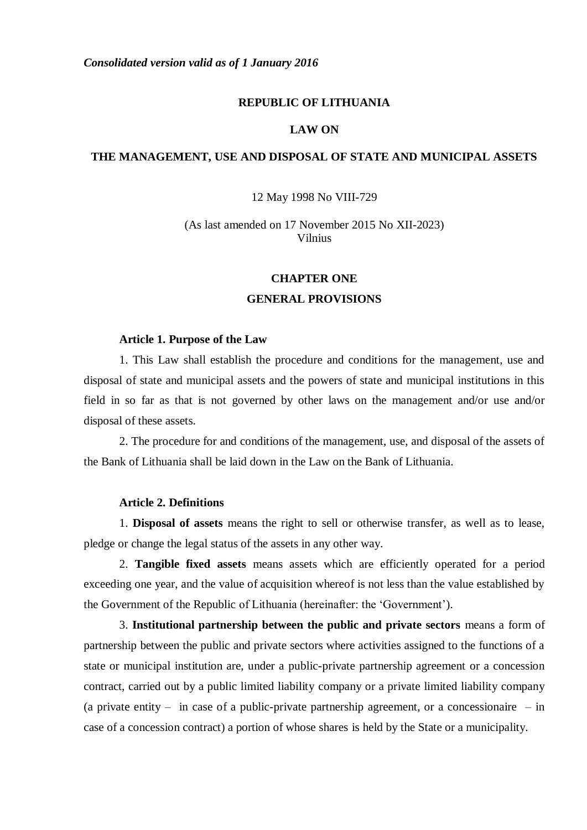# **REPUBLIC OF LITHUANIA**

# **LAW ON**

# **THE MANAGEMENT, USE AND DISPOSAL OF STATE AND MUNICIPAL ASSETS**

12 May 1998 No VIII-729

(As last amended on 17 November 2015 No XII-2023) Vilnius

#### **CHAPTER ONE**

## **GENERAL PROVISIONS**

## **Article 1. Purpose of the Law**

1. This Law shall establish the procedure and conditions for the management, use and disposal of state and municipal assets and the powers of state and municipal institutions in this field in so far as that is not governed by other laws on the management and/or use and/or disposal of these assets.

2. The procedure for and conditions of the management, use, and disposal of the assets of the Bank of Lithuania shall be laid down in the Law on the Bank of Lithuania.

## **Article 2. Definitions**

1. **Disposal of assets** means the right to sell or otherwise transfer, as well as to lease, pledge or change the legal status of the assets in any other way.

2. **Tangible fixed assets** means assets which are efficiently operated for a period exceeding one year, and the value of acquisition whereof is not less than the value established by the Government of the Republic of Lithuania (hereinafter: the 'Government').

3. **Institutional partnership between the public and private sectors** means a form of partnership between the public and private sectors where activities assigned to the functions of a state or municipal institution are, under a public-private partnership agreement or a concession contract, carried out by a public limited liability company or a private limited liability company (a private entity – in case of a public-private partnership agreement, or a concessionaire – in case of a concession contract) a portion of whose shares is held by the State or a municipality.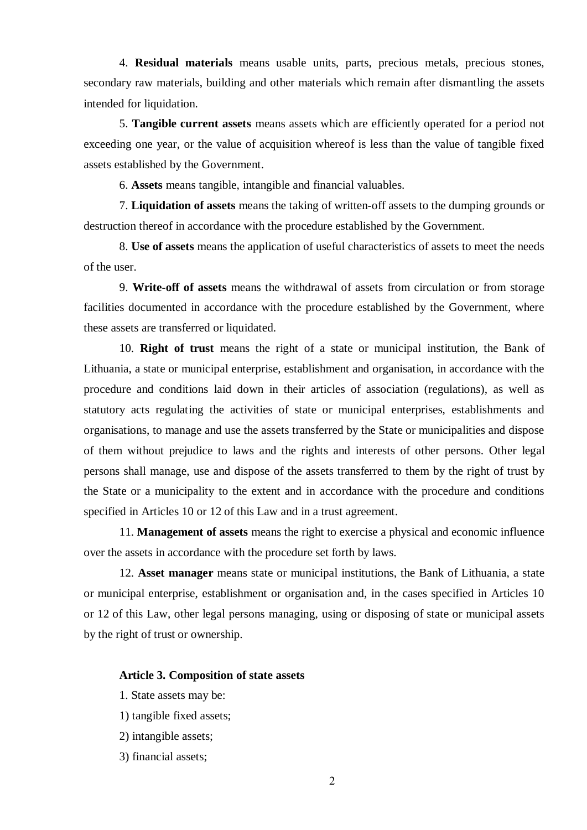4. **Residual materials** means usable units, parts, precious metals, precious stones, secondary raw materials, building and other materials which remain after dismantling the assets intended for liquidation.

5. **Tangible current assets** means assets which are efficiently operated for a period not exceeding one year, or the value of acquisition whereof is less than the value of tangible fixed assets established by the Government.

6. **Assets** means tangible, intangible and financial valuables.

7. **Liquidation of assets** means the taking of written-off assets to the dumping grounds or destruction thereof in accordance with the procedure established by the Government.

8. **Use of assets** means the application of useful characteristics of assets to meet the needs of the user.

9. **Write-off of assets** means the withdrawal of assets from circulation or from storage facilities documented in accordance with the procedure established by the Government, where these assets are transferred or liquidated.

10. **Right of trust** means the right of a state or municipal institution, the Bank of Lithuania, a state or municipal enterprise, establishment and organisation, in accordance with the procedure and conditions laid down in their articles of association (regulations), as well as statutory acts regulating the activities of state or municipal enterprises, establishments and organisations, to manage and use the assets transferred by the State or municipalities and dispose of them without prejudice to laws and the rights and interests of other persons. Other legal persons shall manage, use and dispose of the assets transferred to them by the right of trust by the State or a municipality to the extent and in accordance with the procedure and conditions specified in Articles 10 or 12 of this Law and in a trust agreement.

11. **Management of assets** means the right to exercise a physical and economic influence over the assets in accordance with the procedure set forth by laws.

12. **Asset manager** means state or municipal institutions, the Bank of Lithuania, a state or municipal enterprise, establishment or organisation and, in the cases specified in Articles 10 or 12 of this Law, other legal persons managing, using or disposing of state or municipal assets by the right of trust or ownership.

#### **Article 3. Composition of state assets**

- 1. State assets may be:
- 1) tangible fixed assets;
- 2) intangible assets;
- 3) financial assets;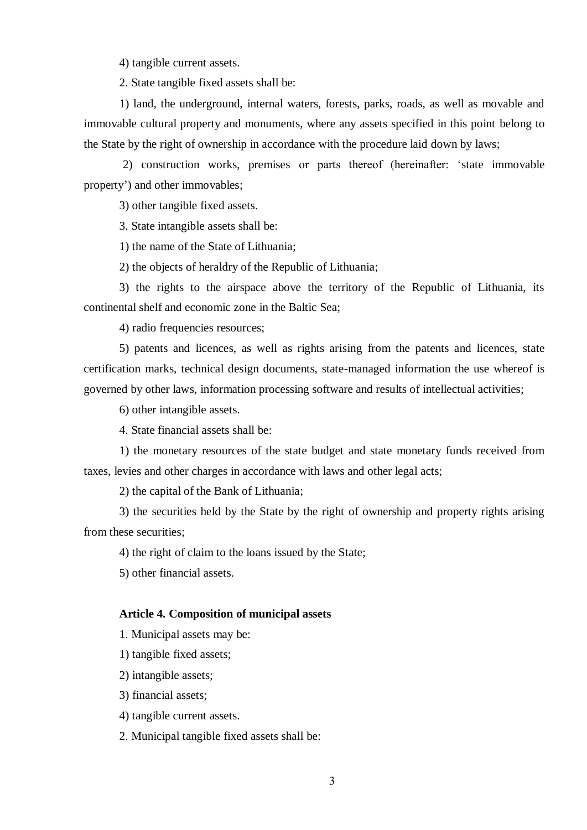4) tangible current assets.

2. State tangible fixed assets shall be:

1) land, the underground, internal waters, forests, parks, roads, as well as movable and immovable cultural property and monuments, where any assets specified in this point belong to the State by the right of ownership in accordance with the procedure laid down by laws;

2) construction works, premises or parts thereof (hereinafter: 'state immovable property') and other immovables;

3) other tangible fixed assets.

3. State intangible assets shall be:

1) the name of the State of Lithuania;

2) the objects of heraldry of the Republic of Lithuania;

3) the rights to the airspace above the territory of the Republic of Lithuania, its continental shelf and economic zone in the Baltic Sea;

4) radio frequencies resources;

5) patents and licences, as well as rights arising from the patents and licences, state certification marks, technical design documents, state-managed information the use whereof is governed by other laws, information processing software and results of intellectual activities;

6) other intangible assets.

4. State financial assets shall be:

1) the monetary resources of the state budget and state monetary funds received from taxes, levies and other charges in accordance with laws and other legal acts;

2) the capital of the Bank of Lithuania;

3) the securities held by the State by the right of ownership and property rights arising from these securities;

4) the right of claim to the loans issued by the State;

5) other financial assets.

#### **Article 4. Composition of municipal assets**

1. Municipal assets may be:

1) tangible fixed assets;

2) intangible assets;

3) financial assets;

4) tangible current assets.

2. Municipal tangible fixed assets shall be: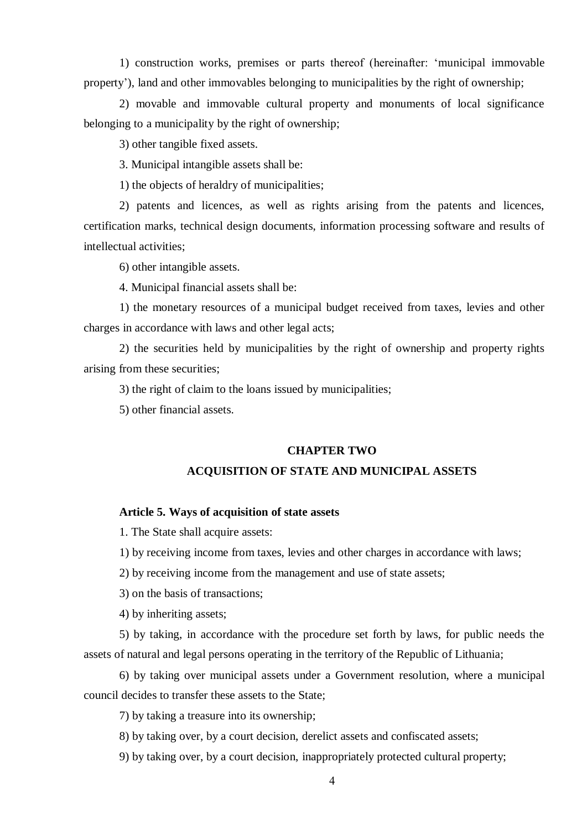1) construction works, premises or parts thereof (hereinafter: 'municipal immovable property'), land and other immovables belonging to municipalities by the right of ownership;

2) movable and immovable cultural property and monuments of local significance belonging to a municipality by the right of ownership;

3) other tangible fixed assets.

3. Municipal intangible assets shall be:

1) the objects of heraldry of municipalities;

2) patents and licences, as well as rights arising from the patents and licences, certification marks, technical design documents, information processing software and results of intellectual activities;

6) other intangible assets.

4. Municipal financial assets shall be:

1) the monetary resources of a municipal budget received from taxes, levies and other charges in accordance with laws and other legal acts;

2) the securities held by municipalities by the right of ownership and property rights arising from these securities;

3) the right of claim to the loans issued by municipalities;

5) other financial assets.

#### **CHAPTER TWO**

# **ACQUISITION OF STATE AND MUNICIPAL ASSETS**

## **Article 5. Ways of acquisition of state assets**

1. The State shall acquire assets:

1) by receiving income from taxes, levies and other charges in accordance with laws;

2) by receiving income from the management and use of state assets;

3) on the basis of transactions;

4) by inheriting assets;

5) by taking, in accordance with the procedure set forth by laws, for public needs the assets of natural and legal persons operating in the territory of the Republic of Lithuania;

6) by taking over municipal assets under a Government resolution, where a municipal council decides to transfer these assets to the State;

7) by taking a treasure into its ownership;

8) by taking over, by a court decision, derelict assets and confiscated assets;

9) by taking over, by a court decision, inappropriately protected cultural property;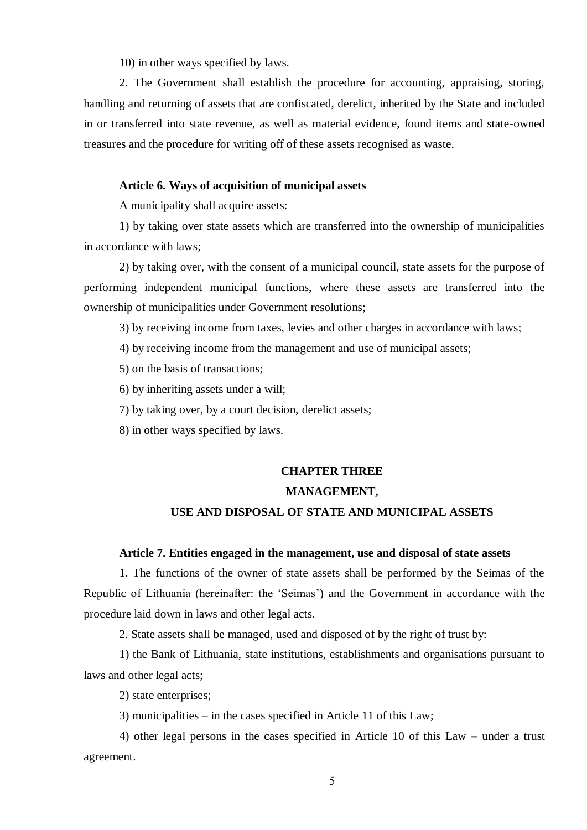10) in other ways specified by laws.

2. The Government shall establish the procedure for accounting, appraising, storing, handling and returning of assets that are confiscated, derelict, inherited by the State and included in or transferred into state revenue, as well as material evidence, found items and state-owned treasures and the procedure for writing off of these assets recognised as waste.

## **Article 6. Ways of acquisition of municipal assets**

A municipality shall acquire assets:

1) by taking over state assets which are transferred into the ownership of municipalities in accordance with laws;

2) by taking over, with the consent of a municipal council, state assets for the purpose of performing independent municipal functions, where these assets are transferred into the ownership of municipalities under Government resolutions;

3) by receiving income from taxes, levies and other charges in accordance with laws;

4) by receiving income from the management and use of municipal assets;

5) on the basis of transactions;

6) by inheriting assets under a will;

7) by taking over, by a court decision, derelict assets;

8) in other ways specified by laws.

# **CHAPTER THREE**

## **MANAGEMENT,**

# **USE AND DISPOSAL OF STATE AND MUNICIPAL ASSETS**

# **Article 7. Entities engaged in the management, use and disposal of state assets**

1. The functions of the owner of state assets shall be performed by the Seimas of the Republic of Lithuania (hereinafter: the 'Seimas') and the Government in accordance with the procedure laid down in laws and other legal acts.

2. State assets shall be managed, used and disposed of by the right of trust by:

1) the Bank of Lithuania, state institutions, establishments and organisations pursuant to laws and other legal acts;

2) state enterprises;

3) municipalities – in the cases specified in Article 11 of this Law;

4) other legal persons in the cases specified in Article 10 of this Law – under a trust agreement.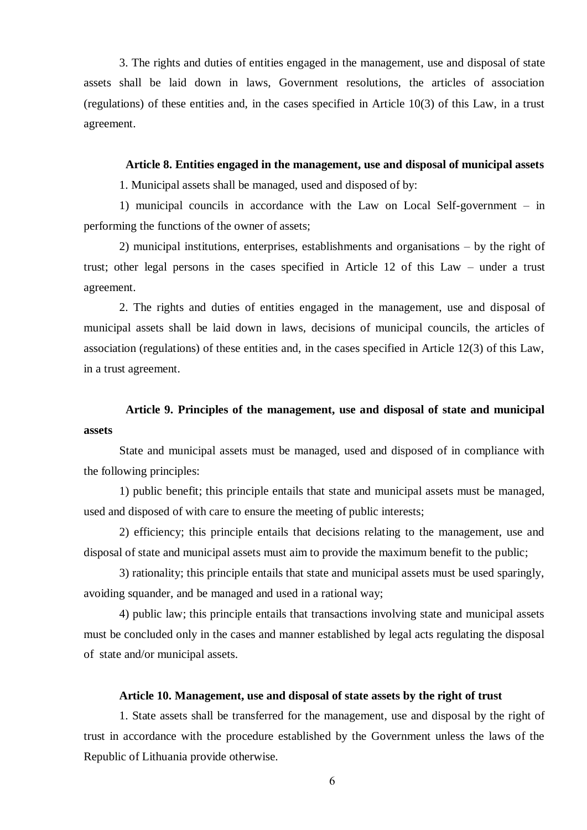3. The rights and duties of entities engaged in the management, use and disposal of state assets shall be laid down in laws, Government resolutions, the articles of association (regulations) of these entities and, in the cases specified in Article 10(3) of this Law, in a trust agreement.

#### **Article 8. Entities engaged in the management, use and disposal of municipal assets**

1. Municipal assets shall be managed, used and disposed of by:

1) municipal councils in accordance with the Law on Local Self-government – in performing the functions of the owner of assets;

2) municipal institutions, enterprises, establishments and organisations – by the right of trust; other legal persons in the cases specified in Article 12 of this Law – under a trust agreement.

2. The rights and duties of entities engaged in the management, use and disposal of municipal assets shall be laid down in laws, decisions of municipal councils, the articles of association (regulations) of these entities and, in the cases specified in Article 12(3) of this Law, in a trust agreement.

# **Article 9. Principles of the management, use and disposal of state and municipal assets**

State and municipal assets must be managed, used and disposed of in compliance with the following principles:

1) public benefit; this principle entails that state and municipal assets must be managed, used and disposed of with care to ensure the meeting of public interests;

2) efficiency; this principle entails that decisions relating to the management, use and disposal of state and municipal assets must aim to provide the maximum benefit to the public;

3) rationality; this principle entails that state and municipal assets must be used sparingly, avoiding squander, and be managed and used in a rational way;

4) public law; this principle entails that transactions involving state and municipal assets must be concluded only in the cases and manner established by legal acts regulating the disposal of state and/or municipal assets.

# **Article 10. Management, use and disposal of state assets by the right of trust**

1. State assets shall be transferred for the management, use and disposal by the right of trust in accordance with the procedure established by the Government unless the laws of the Republic of Lithuania provide otherwise.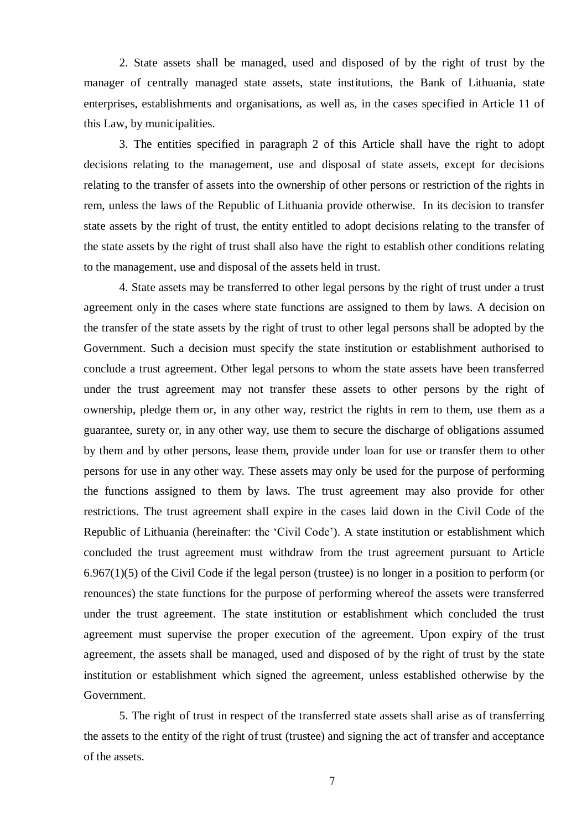2. State assets shall be managed, used and disposed of by the right of trust by the manager of centrally managed state assets, state institutions, the Bank of Lithuania, state enterprises, establishments and organisations, as well as, in the cases specified in Article 11 of this Law, by municipalities.

3. The entities specified in paragraph 2 of this Article shall have the right to adopt decisions relating to the management, use and disposal of state assets, except for decisions relating to the transfer of assets into the ownership of other persons or restriction of the rights in rem, unless the laws of the Republic of Lithuania provide otherwise. In its decision to transfer state assets by the right of trust, the entity entitled to adopt decisions relating to the transfer of the state assets by the right of trust shall also have the right to establish other conditions relating to the management, use and disposal of the assets held in trust.

4. State assets may be transferred to other legal persons by the right of trust under a trust agreement only in the cases where state functions are assigned to them by laws. A decision on the transfer of the state assets by the right of trust to other legal persons shall be adopted by the Government. Such a decision must specify the state institution or establishment authorised to conclude a trust agreement. Other legal persons to whom the state assets have been transferred under the trust agreement may not transfer these assets to other persons by the right of ownership, pledge them or, in any other way, restrict the rights in rem to them, use them as a guarantee, surety or, in any other way, use them to secure the discharge of obligations assumed by them and by other persons, lease them, provide under loan for use or transfer them to other persons for use in any other way. These assets may only be used for the purpose of performing the functions assigned to them by laws. The trust agreement may also provide for other restrictions. The trust agreement shall expire in the cases laid down in the Civil Code of the Republic of Lithuania (hereinafter: the 'Civil Code'). A state institution or establishment which concluded the trust agreement must withdraw from the trust agreement pursuant to Article 6.967(1)(5) of the Civil Code if the legal person (trustee) is no longer in a position to perform (or renounces) the state functions for the purpose of performing whereof the assets were transferred under the trust agreement. The state institution or establishment which concluded the trust agreement must supervise the proper execution of the agreement. Upon expiry of the trust agreement, the assets shall be managed, used and disposed of by the right of trust by the state institution or establishment which signed the agreement, unless established otherwise by the Government.

5. The right of trust in respect of the transferred state assets shall arise as of transferring the assets to the entity of the right of trust (trustee) and signing the act of transfer and acceptance of the assets.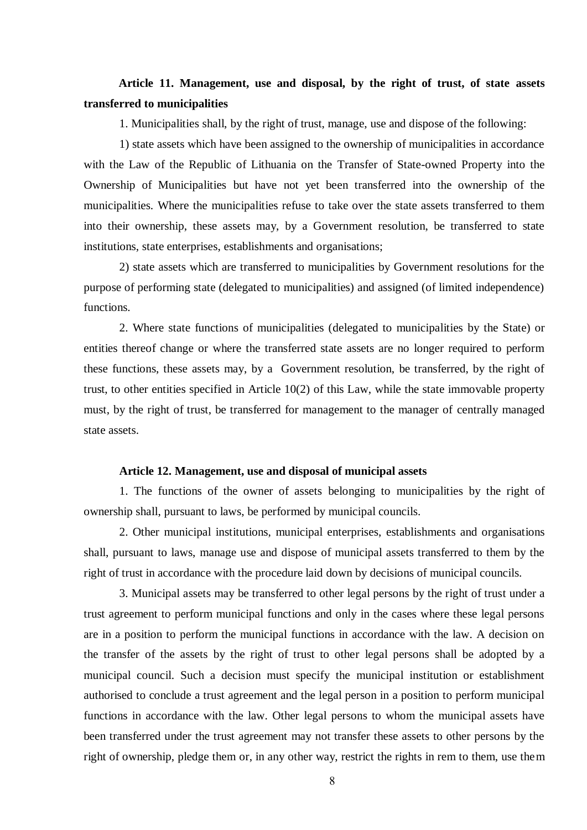# **Article 11. Management, use and disposal, by the right of trust, of state assets transferred to municipalities**

1. Municipalities shall, by the right of trust, manage, use and dispose of the following:

1) state assets which have been assigned to the ownership of municipalities in accordance with the Law of the Republic of Lithuania on the Transfer of State-owned Property into the Ownership of Municipalities but have not yet been transferred into the ownership of the municipalities. Where the municipalities refuse to take over the state assets transferred to them into their ownership, these assets may, by a Government resolution, be transferred to state institutions, state enterprises, establishments and organisations;

2) state assets which are transferred to municipalities by Government resolutions for the purpose of performing state (delegated to municipalities) and assigned (of limited independence) functions.

2. Where state functions of municipalities (delegated to municipalities by the State) or entities thereof change or where the transferred state assets are no longer required to perform these functions, these assets may, by a Government resolution, be transferred, by the right of trust, to other entities specified in Article 10(2) of this Law, while the state immovable property must, by the right of trust, be transferred for management to the manager of centrally managed state assets.

# **Article 12. Management, use and disposal of municipal assets**

1. The functions of the owner of assets belonging to municipalities by the right of ownership shall, pursuant to laws, be performed by municipal councils.

2. Other municipal institutions, municipal enterprises, establishments and organisations shall, pursuant to laws, manage use and dispose of municipal assets transferred to them by the right of trust in accordance with the procedure laid down by decisions of municipal councils.

3. Municipal assets may be transferred to other legal persons by the right of trust under a trust agreement to perform municipal functions and only in the cases where these legal persons are in a position to perform the municipal functions in accordance with the law. A decision on the transfer of the assets by the right of trust to other legal persons shall be adopted by a municipal council. Such a decision must specify the municipal institution or establishment authorised to conclude a trust agreement and the legal person in a position to perform municipal functions in accordance with the law. Other legal persons to whom the municipal assets have been transferred under the trust agreement may not transfer these assets to other persons by the right of ownership, pledge them or, in any other way, restrict the rights in rem to them, use them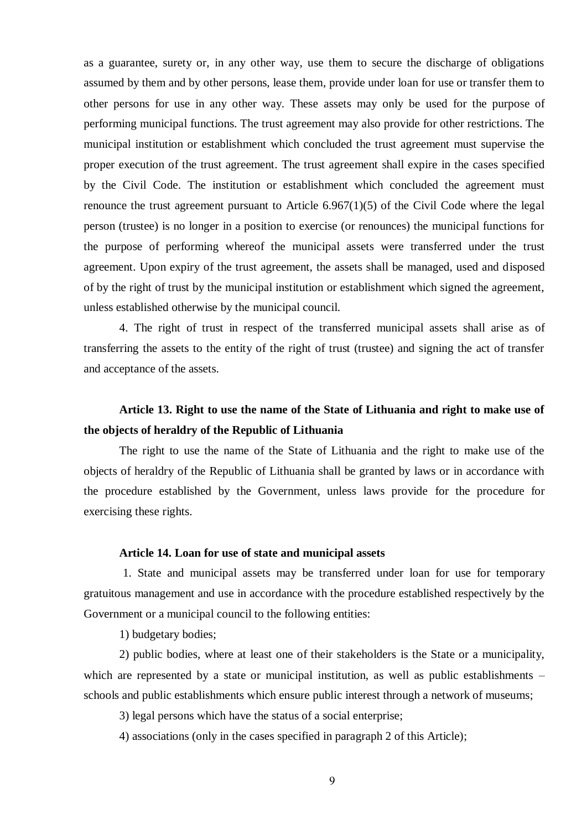as a guarantee, surety or, in any other way, use them to secure the discharge of obligations assumed by them and by other persons, lease them, provide under loan for use or transfer them to other persons for use in any other way. These assets may only be used for the purpose of performing municipal functions. The trust agreement may also provide for other restrictions. The municipal institution or establishment which concluded the trust agreement must supervise the proper execution of the trust agreement. The trust agreement shall expire in the cases specified by the Civil Code. The institution or establishment which concluded the agreement must renounce the trust agreement pursuant to Article  $6.967(1)(5)$  of the Civil Code where the legal person (trustee) is no longer in a position to exercise (or renounces) the municipal functions for the purpose of performing whereof the municipal assets were transferred under the trust agreement. Upon expiry of the trust agreement, the assets shall be managed, used and disposed of by the right of trust by the municipal institution or establishment which signed the agreement, unless established otherwise by the municipal council.

4. The right of trust in respect of the transferred municipal assets shall arise as of transferring the assets to the entity of the right of trust (trustee) and signing the act of transfer and acceptance of the assets.

# **Article 13. Right to use the name of the State of Lithuania and right to make use of the objects of heraldry of the Republic of Lithuania**

The right to use the name of the State of Lithuania and the right to make use of the objects of heraldry of the Republic of Lithuania shall be granted by laws or in accordance with the procedure established by the Government, unless laws provide for the procedure for exercising these rights.

## **Article 14. Loan for use of state and municipal assets**

1. State and municipal assets may be transferred under loan for use for temporary gratuitous management and use in accordance with the procedure established respectively by the Government or a municipal council to the following entities:

1) budgetary bodies;

2) public bodies, where at least one of their stakeholders is the State or a municipality, which are represented by a state or municipal institution, as well as public establishments – schools and public establishments which ensure public interest through a network of museums;

3) legal persons which have the status of a social enterprise;

4) associations (only in the cases specified in paragraph 2 of this Article);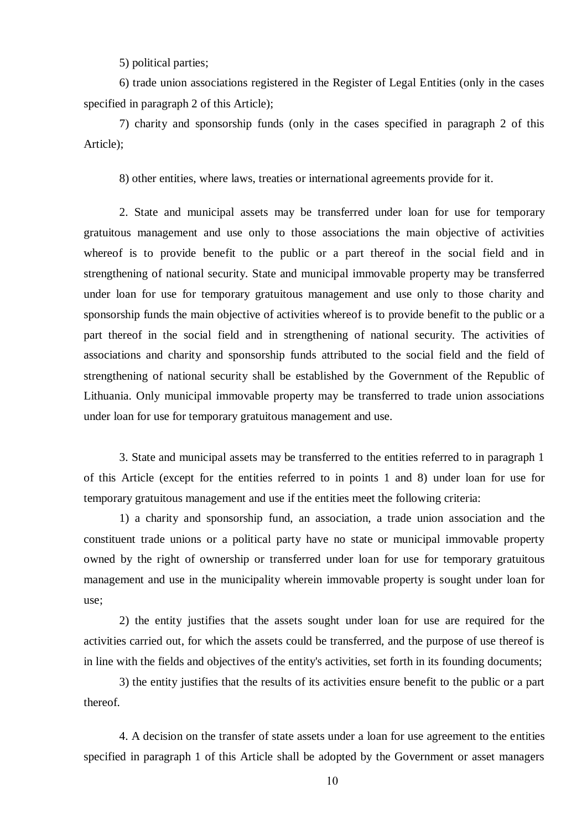5) political parties;

6) trade union associations registered in the Register of Legal Entities (only in the cases specified in paragraph 2 of this Article);

7) charity and sponsorship funds (only in the cases specified in paragraph 2 of this Article);

8) other entities, where laws, treaties or international agreements provide for it.

2. State and municipal assets may be transferred under loan for use for temporary gratuitous management and use only to those associations the main objective of activities whereof is to provide benefit to the public or a part thereof in the social field and in strengthening of national security. State and municipal immovable property may be transferred under loan for use for temporary gratuitous management and use only to those charity and sponsorship funds the main objective of activities whereof is to provide benefit to the public or a part thereof in the social field and in strengthening of national security. The activities of associations and charity and sponsorship funds attributed to the social field and the field of strengthening of national security shall be established by the Government of the Republic of Lithuania. Only municipal immovable property may be transferred to trade union associations under loan for use for temporary gratuitous management and use.

3. State and municipal assets may be transferred to the entities referred to in paragraph 1 of this Article (except for the entities referred to in points 1 and 8) under loan for use for temporary gratuitous management and use if the entities meet the following criteria:

1) a charity and sponsorship fund, an association, a trade union association and the constituent trade unions or a political party have no state or municipal immovable property owned by the right of ownership or transferred under loan for use for temporary gratuitous management and use in the municipality wherein immovable property is sought under loan for use;

2) the entity justifies that the assets sought under loan for use are required for the activities carried out, for which the assets could be transferred, and the purpose of use thereof is in line with the fields and objectives of the entity's activities, set forth in its founding documents;

3) the entity justifies that the results of its activities ensure benefit to the public or a part thereof.

4. A decision on the transfer of state assets under a loan for use agreement to the entities specified in paragraph 1 of this Article shall be adopted by the Government or asset managers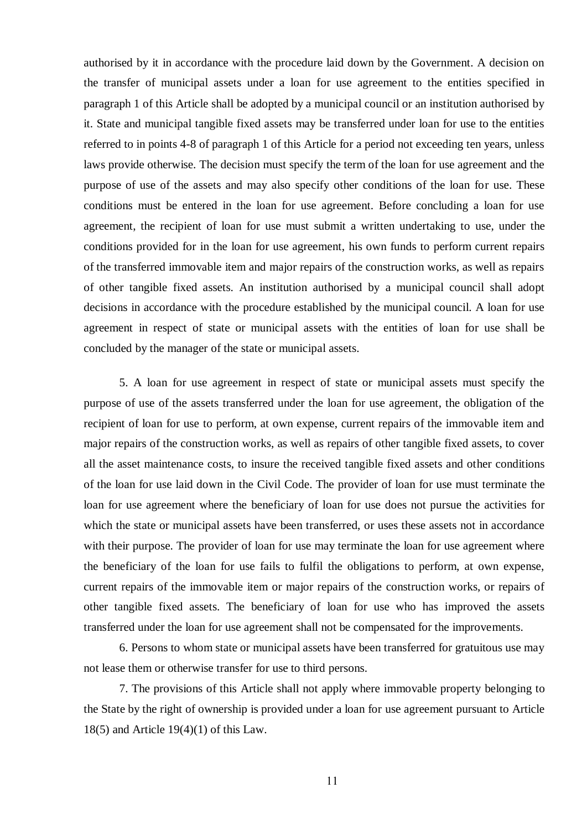authorised by it in accordance with the procedure laid down by the Government. A decision on the transfer of municipal assets under a loan for use agreement to the entities specified in paragraph 1 of this Article shall be adopted by a municipal council or an institution authorised by it. State and municipal tangible fixed assets may be transferred under loan for use to the entities referred to in points 4-8 of paragraph 1 of this Article for a period not exceeding ten years, unless laws provide otherwise. The decision must specify the term of the loan for use agreement and the purpose of use of the assets and may also specify other conditions of the loan for use. These conditions must be entered in the loan for use agreement. Before concluding a loan for use agreement, the recipient of loan for use must submit a written undertaking to use, under the conditions provided for in the loan for use agreement, his own funds to perform current repairs of the transferred immovable item and major repairs of the construction works, as well as repairs of other tangible fixed assets. An institution authorised by a municipal council shall adopt decisions in accordance with the procedure established by the municipal council. A loan for use agreement in respect of state or municipal assets with the entities of loan for use shall be concluded by the manager of the state or municipal assets.

5. A loan for use agreement in respect of state or municipal assets must specify the purpose of use of the assets transferred under the loan for use agreement, the obligation of the recipient of loan for use to perform, at own expense, current repairs of the immovable item and major repairs of the construction works, as well as repairs of other tangible fixed assets, to cover all the asset maintenance costs, to insure the received tangible fixed assets and other conditions of the loan for use laid down in the Civil Code. The provider of loan for use must terminate the loan for use agreement where the beneficiary of loan for use does not pursue the activities for which the state or municipal assets have been transferred, or uses these assets not in accordance with their purpose. The provider of loan for use may terminate the loan for use agreement where the beneficiary of the loan for use fails to fulfil the obligations to perform, at own expense, current repairs of the immovable item or major repairs of the construction works, or repairs of other tangible fixed assets. The beneficiary of loan for use who has improved the assets transferred under the loan for use agreement shall not be compensated for the improvements.

6. Persons to whom state or municipal assets have been transferred for gratuitous use may not lease them or otherwise transfer for use to third persons.

7. The provisions of this Article shall not apply where immovable property belonging to the State by the right of ownership is provided under a loan for use agreement pursuant to Article 18(5) and Article 19(4)(1) of this Law.

11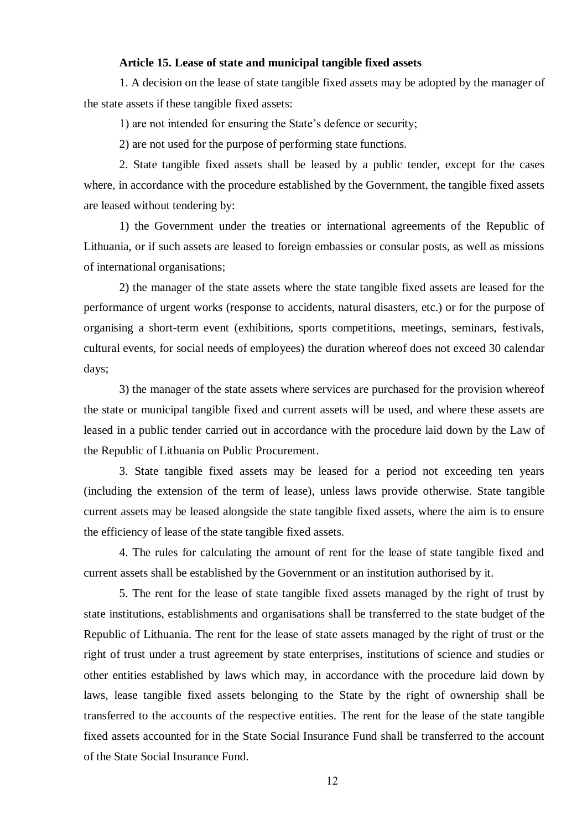# **Article 15. Lease of state and municipal tangible fixed assets**

1. A decision on the lease of state tangible fixed assets may be adopted by the manager of the state assets if these tangible fixed assets:

1) are not intended for ensuring the State's defence or security;

2) are not used for the purpose of performing state functions.

2. State tangible fixed assets shall be leased by a public tender, except for the cases where, in accordance with the procedure established by the Government, the tangible fixed assets are leased without tendering by:

1) the Government under the treaties or international agreements of the Republic of Lithuania, or if such assets are leased to foreign embassies or consular posts, as well as missions of international organisations;

2) the manager of the state assets where the state tangible fixed assets are leased for the performance of urgent works (response to accidents, natural disasters, etc.) or for the purpose of organising a short-term event (exhibitions, sports competitions, meetings, seminars, festivals, cultural events, for social needs of employees) the duration whereof does not exceed 30 calendar days;

3) the manager of the state assets where services are purchased for the provision whereof the state or municipal tangible fixed and current assets will be used, and where these assets are leased in a public tender carried out in accordance with the procedure laid down by the Law of the Republic of Lithuania on Public Procurement.

3. State tangible fixed assets may be leased for a period not exceeding ten years (including the extension of the term of lease), unless laws provide otherwise. State tangible current assets may be leased alongside the state tangible fixed assets, where the aim is to ensure the efficiency of lease of the state tangible fixed assets.

4. The rules for calculating the amount of rent for the lease of state tangible fixed and current assets shall be established by the Government or an institution authorised by it.

5. The rent for the lease of state tangible fixed assets managed by the right of trust by state institutions, establishments and organisations shall be transferred to the state budget of the Republic of Lithuania. The rent for the lease of state assets managed by the right of trust or the right of trust under a trust agreement by state enterprises, institutions of science and studies or other entities established by laws which may, in accordance with the procedure laid down by laws, lease tangible fixed assets belonging to the State by the right of ownership shall be transferred to the accounts of the respective entities. The rent for the lease of the state tangible fixed assets accounted for in the State Social Insurance Fund shall be transferred to the account of the State Social Insurance Fund.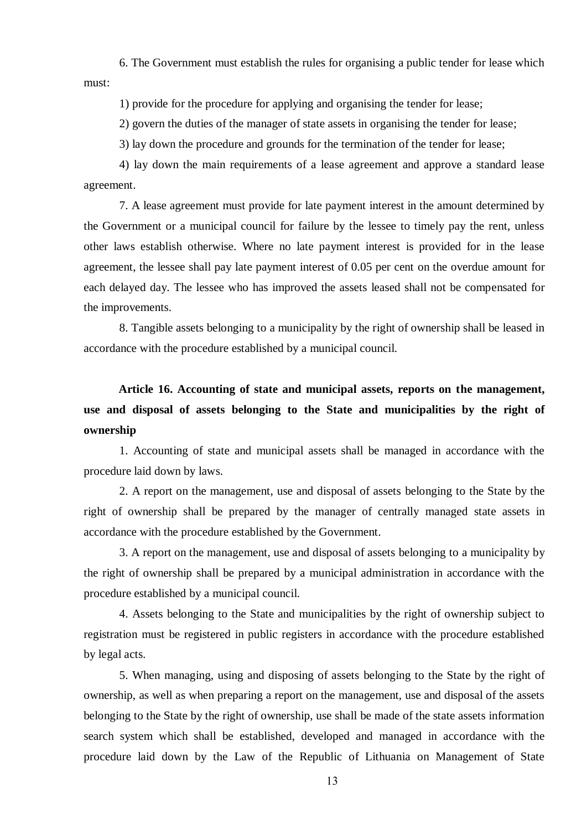6. The Government must establish the rules for organising a public tender for lease which must:

1) provide for the procedure for applying and organising the tender for lease;

2) govern the duties of the manager of state assets in organising the tender for lease;

3) lay down the procedure and grounds for the termination of the tender for lease;

4) lay down the main requirements of a lease agreement and approve a standard lease agreement.

7. A lease agreement must provide for late payment interest in the amount determined by the Government or a municipal council for failure by the lessee to timely pay the rent, unless other laws establish otherwise. Where no late payment interest is provided for in the lease agreement, the lessee shall pay late payment interest of 0.05 per cent on the overdue amount for each delayed day. The lessee who has improved the assets leased shall not be compensated for the improvements.

8. Tangible assets belonging to a municipality by the right of ownership shall be leased in accordance with the procedure established by a municipal council.

**Article 16. Accounting of state and municipal assets, reports on the management, use and disposal of assets belonging to the State and municipalities by the right of ownership**

1. Accounting of state and municipal assets shall be managed in accordance with the procedure laid down by laws.

2. A report on the management, use and disposal of assets belonging to the State by the right of ownership shall be prepared by the manager of centrally managed state assets in accordance with the procedure established by the Government.

3. A report on the management, use and disposal of assets belonging to a municipality by the right of ownership shall be prepared by a municipal administration in accordance with the procedure established by a municipal council.

4. Assets belonging to the State and municipalities by the right of ownership subject to registration must be registered in public registers in accordance with the procedure established by legal acts.

5. When managing, using and disposing of assets belonging to the State by the right of ownership, as well as when preparing a report on the management, use and disposal of the assets belonging to the State by the right of ownership, use shall be made of the state assets information search system which shall be established, developed and managed in accordance with the procedure laid down by the Law of the Republic of Lithuania on Management of State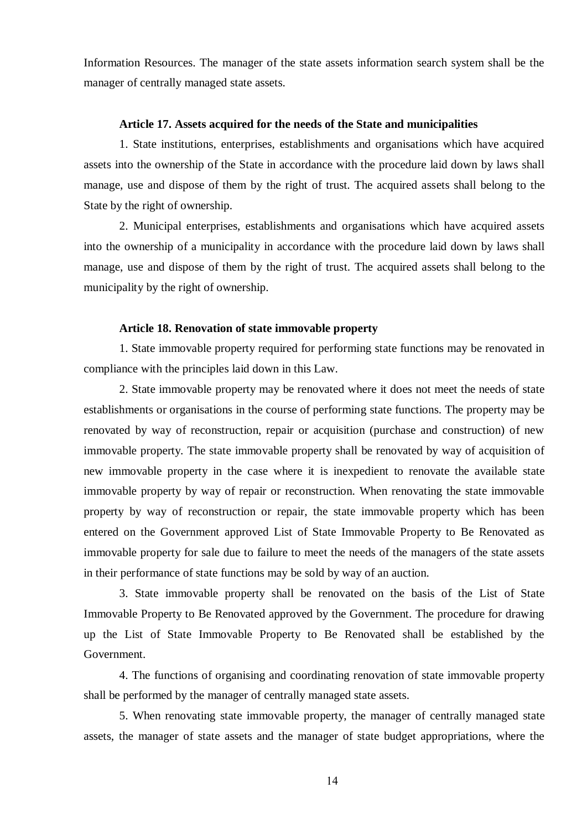Information Resources. The manager of the state assets information search system shall be the manager of centrally managed state assets.

## **Article 17. Assets acquired for the needs of the State and municipalities**

1. State institutions, enterprises, establishments and organisations which have acquired assets into the ownership of the State in accordance with the procedure laid down by laws shall manage, use and dispose of them by the right of trust. The acquired assets shall belong to the State by the right of ownership.

2. Municipal enterprises, establishments and organisations which have acquired assets into the ownership of a municipality in accordance with the procedure laid down by laws shall manage, use and dispose of them by the right of trust. The acquired assets shall belong to the municipality by the right of ownership.

#### **Article 18. Renovation of state immovable property**

1. State immovable property required for performing state functions may be renovated in compliance with the principles laid down in this Law.

2. State immovable property may be renovated where it does not meet the needs of state establishments or organisations in the course of performing state functions. The property may be renovated by way of reconstruction, repair or acquisition (purchase and construction) of new immovable property. The state immovable property shall be renovated by way of acquisition of new immovable property in the case where it is inexpedient to renovate the available state immovable property by way of repair or reconstruction. When renovating the state immovable property by way of reconstruction or repair, the state immovable property which has been entered on the Government approved List of State Immovable Property to Be Renovated as immovable property for sale due to failure to meet the needs of the managers of the state assets in their performance of state functions may be sold by way of an auction.

3. State immovable property shall be renovated on the basis of the List of State Immovable Property to Be Renovated approved by the Government. The procedure for drawing up the List of State Immovable Property to Be Renovated shall be established by the Government.

4. The functions of organising and coordinating renovation of state immovable property shall be performed by the manager of centrally managed state assets.

5. When renovating state immovable property, the manager of centrally managed state assets, the manager of state assets and the manager of state budget appropriations, where the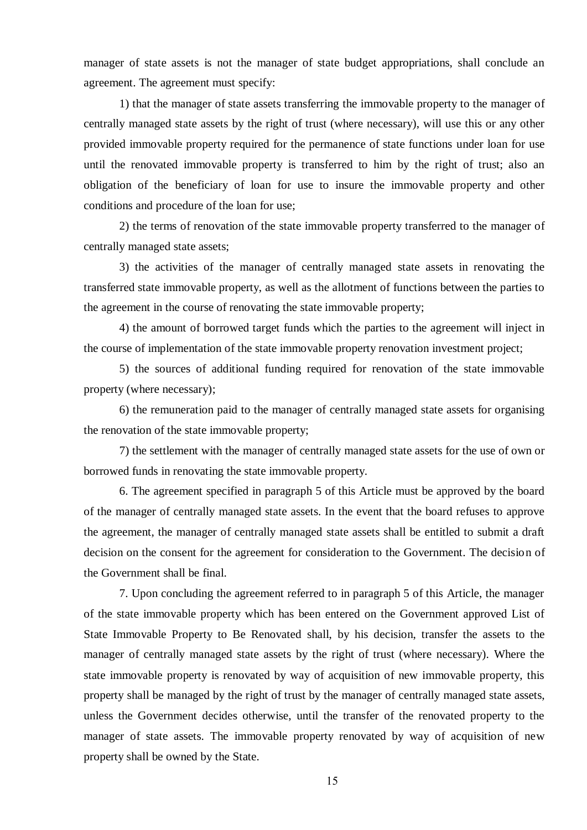manager of state assets is not the manager of state budget appropriations, shall conclude an agreement. The agreement must specify:

1) that the manager of state assets transferring the immovable property to the manager of centrally managed state assets by the right of trust (where necessary), will use this or any other provided immovable property required for the permanence of state functions under loan for use until the renovated immovable property is transferred to him by the right of trust; also an obligation of the beneficiary of loan for use to insure the immovable property and other conditions and procedure of the loan for use;

2) the terms of renovation of the state immovable property transferred to the manager of centrally managed state assets;

3) the activities of the manager of centrally managed state assets in renovating the transferred state immovable property, as well as the allotment of functions between the parties to the agreement in the course of renovating the state immovable property;

4) the amount of borrowed target funds which the parties to the agreement will inject in the course of implementation of the state immovable property renovation investment project;

5) the sources of additional funding required for renovation of the state immovable property (where necessary);

6) the remuneration paid to the manager of centrally managed state assets for organising the renovation of the state immovable property;

7) the settlement with the manager of centrally managed state assets for the use of own or borrowed funds in renovating the state immovable property.

6. The agreement specified in paragraph 5 of this Article must be approved by the board of the manager of centrally managed state assets. In the event that the board refuses to approve the agreement, the manager of centrally managed state assets shall be entitled to submit a draft decision on the consent for the agreement for consideration to the Government. The decision of the Government shall be final.

7. Upon concluding the agreement referred to in paragraph 5 of this Article, the manager of the state immovable property which has been entered on the Government approved List of State Immovable Property to Be Renovated shall, by his decision, transfer the assets to the manager of centrally managed state assets by the right of trust (where necessary). Where the state immovable property is renovated by way of acquisition of new immovable property, this property shall be managed by the right of trust by the manager of centrally managed state assets, unless the Government decides otherwise, until the transfer of the renovated property to the manager of state assets. The immovable property renovated by way of acquisition of new property shall be owned by the State.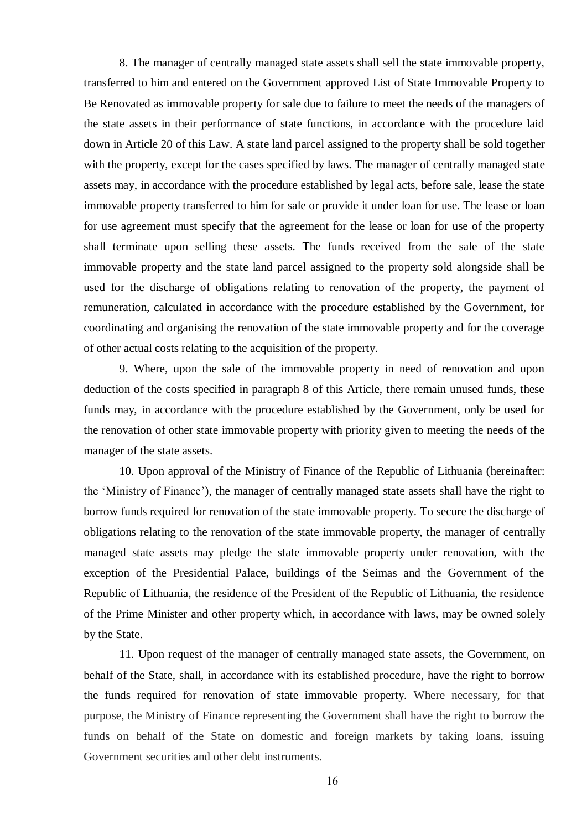8. The manager of centrally managed state assets shall sell the state immovable property, transferred to him and entered on the Government approved List of State Immovable Property to Be Renovated as immovable property for sale due to failure to meet the needs of the managers of the state assets in their performance of state functions, in accordance with the procedure laid down in Article 20 of this Law. A state land parcel assigned to the property shall be sold together with the property, except for the cases specified by laws. The manager of centrally managed state assets may, in accordance with the procedure established by legal acts, before sale, lease the state immovable property transferred to him for sale or provide it under loan for use. The lease or loan for use agreement must specify that the agreement for the lease or loan for use of the property shall terminate upon selling these assets. The funds received from the sale of the state immovable property and the state land parcel assigned to the property sold alongside shall be used for the discharge of obligations relating to renovation of the property, the payment of remuneration, calculated in accordance with the procedure established by the Government, for coordinating and organising the renovation of the state immovable property and for the coverage of other actual costs relating to the acquisition of the property.

9. Where, upon the sale of the immovable property in need of renovation and upon deduction of the costs specified in paragraph 8 of this Article, there remain unused funds, these funds may, in accordance with the procedure established by the Government, only be used for the renovation of other state immovable property with priority given to meeting the needs of the manager of the state assets.

10. Upon approval of the Ministry of Finance of the Republic of Lithuania (hereinafter: the 'Ministry of Finance'), the manager of centrally managed state assets shall have the right to borrow funds required for renovation of the state immovable property. To secure the discharge of obligations relating to the renovation of the state immovable property, the manager of centrally managed state assets may pledge the state immovable property under renovation, with the exception of the Presidential Palace, buildings of the Seimas and the Government of the Republic of Lithuania, the residence of the President of the Republic of Lithuania, the residence of the Prime Minister and other property which, in accordance with laws, may be owned solely by the State.

11. Upon request of the manager of centrally managed state assets, the Government, on behalf of the State, shall, in accordance with its established procedure, have the right to borrow the funds required for renovation of state immovable property. Where necessary, for that purpose, the Ministry of Finance representing the Government shall have the right to borrow the funds on behalf of the State on domestic and foreign markets by taking loans, issuing Government securities and other debt instruments.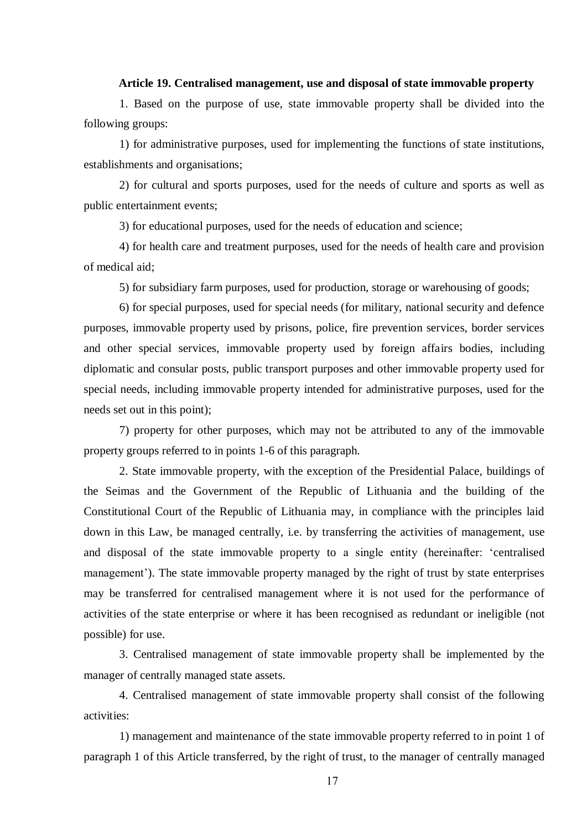## **Article 19. Centralised management, use and disposal of state immovable property**

1. Based on the purpose of use, state immovable property shall be divided into the following groups:

1) for administrative purposes, used for implementing the functions of state institutions, establishments and organisations;

2) for cultural and sports purposes, used for the needs of culture and sports as well as public entertainment events;

3) for educational purposes, used for the needs of education and science;

4) for health care and treatment purposes, used for the needs of health care and provision of medical aid;

5) for subsidiary farm purposes, used for production, storage or warehousing of goods;

6) for special purposes, used for special needs (for military, national security and defence purposes, immovable property used by prisons, police, fire prevention services, border services and other special services, immovable property used by foreign affairs bodies, including diplomatic and consular posts, public transport purposes and other immovable property used for special needs, including immovable property intended for administrative purposes, used for the needs set out in this point);

7) property for other purposes, which may not be attributed to any of the immovable property groups referred to in points 1-6 of this paragraph.

2. State immovable property, with the exception of the Presidential Palace, buildings of the Seimas and the Government of the Republic of Lithuania and the building of the Constitutional Court of the Republic of Lithuania may, in compliance with the principles laid down in this Law, be managed centrally, i.e. by transferring the activities of management, use and disposal of the state immovable property to a single entity (hereinafter: 'centralised management'). The state immovable property managed by the right of trust by state enterprises may be transferred for centralised management where it is not used for the performance of activities of the state enterprise or where it has been recognised as redundant or ineligible (not possible) for use.

3. Centralised management of state immovable property shall be implemented by the manager of centrally managed state assets.

4. Centralised management of state immovable property shall consist of the following activities:

1) management and maintenance of the state immovable property referred to in point 1 of paragraph 1 of this Article transferred, by the right of trust, to the manager of centrally managed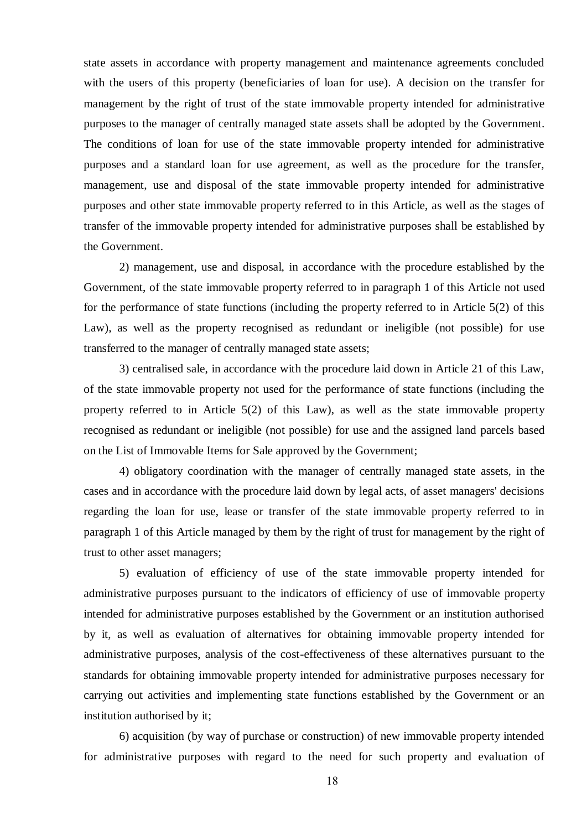state assets in accordance with property management and maintenance agreements concluded with the users of this property (beneficiaries of loan for use). A decision on the transfer for management by the right of trust of the state immovable property intended for administrative purposes to the manager of centrally managed state assets shall be adopted by the Government. The conditions of loan for use of the state immovable property intended for administrative purposes and a standard loan for use agreement, as well as the procedure for the transfer, management, use and disposal of the state immovable property intended for administrative purposes and other state immovable property referred to in this Article, as well as the stages of transfer of the immovable property intended for administrative purposes shall be established by the Government.

2) management, use and disposal, in accordance with the procedure established by the Government, of the state immovable property referred to in paragraph 1 of this Article not used for the performance of state functions (including the property referred to in Article 5(2) of this Law), as well as the property recognised as redundant or ineligible (not possible) for use transferred to the manager of centrally managed state assets;

3) centralised sale, in accordance with the procedure laid down in Article 21 of this Law, of the state immovable property not used for the performance of state functions (including the property referred to in Article 5(2) of this Law), as well as the state immovable property recognised as redundant or ineligible (not possible) for use and the assigned land parcels based on the List of Immovable Items for Sale approved by the Government;

4) obligatory coordination with the manager of centrally managed state assets, in the cases and in accordance with the procedure laid down by legal acts, of asset managers' decisions regarding the loan for use, lease or transfer of the state immovable property referred to in paragraph 1 of this Article managed by them by the right of trust for management by the right of trust to other asset managers;

5) evaluation of efficiency of use of the state immovable property intended for administrative purposes pursuant to the indicators of efficiency of use of immovable property intended for administrative purposes established by the Government or an institution authorised by it, as well as evaluation of alternatives for obtaining immovable property intended for administrative purposes, analysis of the cost-effectiveness of these alternatives pursuant to the standards for obtaining immovable property intended for administrative purposes necessary for carrying out activities and implementing state functions established by the Government or an institution authorised by it;

6) acquisition (by way of purchase or construction) of new immovable property intended for administrative purposes with regard to the need for such property and evaluation of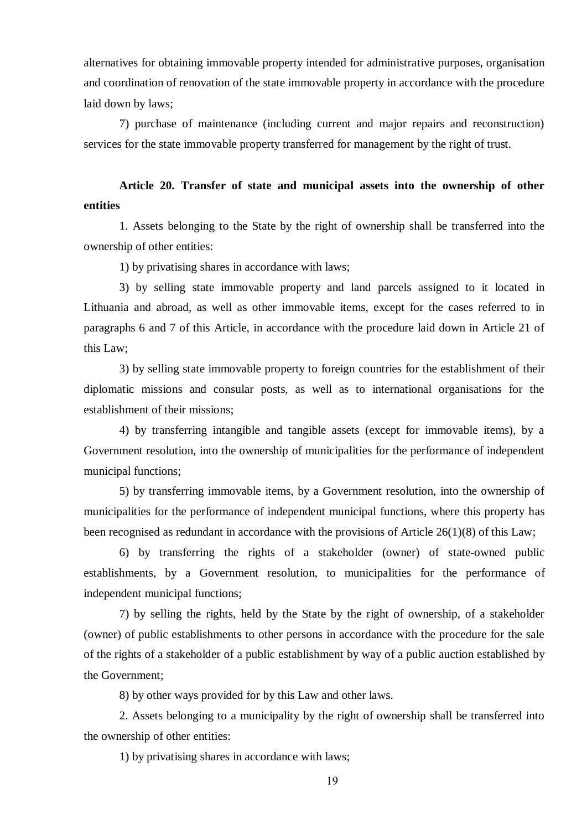alternatives for obtaining immovable property intended for administrative purposes, organisation and coordination of renovation of the state immovable property in accordance with the procedure laid down by laws;

7) purchase of maintenance (including current and major repairs and reconstruction) services for the state immovable property transferred for management by the right of trust.

**Article 20. Transfer of state and municipal assets into the ownership of other entities**

1. Assets belonging to the State by the right of ownership shall be transferred into the ownership of other entities:

1) by privatising shares in accordance with laws;

3) by selling state immovable property and land parcels assigned to it located in Lithuania and abroad, as well as other immovable items, except for the cases referred to in paragraphs 6 and 7 of this Article, in accordance with the procedure laid down in Article 21 of this Law;

3) by selling state immovable property to foreign countries for the establishment of their diplomatic missions and consular posts, as well as to international organisations for the establishment of their missions;

4) by transferring intangible and tangible assets (except for immovable items), by a Government resolution, into the ownership of municipalities for the performance of independent municipal functions;

5) by transferring immovable items, by a Government resolution, into the ownership of municipalities for the performance of independent municipal functions, where this property has been recognised as redundant in accordance with the provisions of Article 26(1)(8) of this Law;

6) by transferring the rights of a stakeholder (owner) of state-owned public establishments, by a Government resolution, to municipalities for the performance of independent municipal functions;

7) by selling the rights, held by the State by the right of ownership, of a stakeholder (owner) of public establishments to other persons in accordance with the procedure for the sale of the rights of a stakeholder of a public establishment by way of a public auction established by the Government;

8) by other ways provided for by this Law and other laws.

2. Assets belonging to a municipality by the right of ownership shall be transferred into the ownership of other entities:

1) by privatising shares in accordance with laws;

19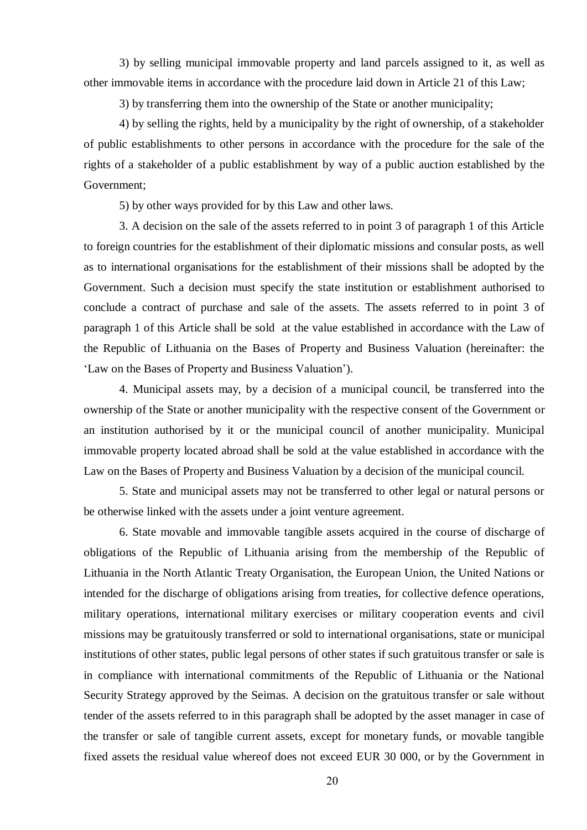3) by selling municipal immovable property and land parcels assigned to it, as well as other immovable items in accordance with the procedure laid down in Article 21 of this Law;

3) by transferring them into the ownership of the State or another municipality;

4) by selling the rights, held by a municipality by the right of ownership, of a stakeholder of public establishments to other persons in accordance with the procedure for the sale of the rights of a stakeholder of a public establishment by way of a public auction established by the Government;

5) by other ways provided for by this Law and other laws.

3. A decision on the sale of the assets referred to in point 3 of paragraph 1 of this Article to foreign countries for the establishment of their diplomatic missions and consular posts, as well as to international organisations for the establishment of their missions shall be adopted by the Government. Such a decision must specify the state institution or establishment authorised to conclude a contract of purchase and sale of the assets. The assets referred to in point 3 of paragraph 1 of this Article shall be sold at the value established in accordance with the Law of the Republic of Lithuania on the Bases of Property and Business Valuation (hereinafter: the 'Law on the Bases of Property and Business Valuation').

4. Municipal assets may, by a decision of a municipal council, be transferred into the ownership of the State or another municipality with the respective consent of the Government or an institution authorised by it or the municipal council of another municipality. Municipal immovable property located abroad shall be sold at the value established in accordance with the Law on the Bases of Property and Business Valuation by a decision of the municipal council.

5. State and municipal assets may not be transferred to other legal or natural persons or be otherwise linked with the assets under a joint venture agreement.

6. State movable and immovable tangible assets acquired in the course of discharge of obligations of the Republic of Lithuania arising from the membership of the Republic of Lithuania in the North Atlantic Treaty Organisation, the European Union, the United Nations or intended for the discharge of obligations arising from treaties, for collective defence operations, military operations, international military exercises or military cooperation events and civil missions may be gratuitously transferred or sold to international organisations, state or municipal institutions of other states, public legal persons of other states if such gratuitous transfer or sale is in compliance with international commitments of the Republic of Lithuania or the National Security Strategy approved by the Seimas. A decision on the gratuitous transfer or sale without tender of the assets referred to in this paragraph shall be adopted by the asset manager in case of the transfer or sale of tangible current assets, except for monetary funds, or movable tangible fixed assets the residual value whereof does not exceed EUR 30 000, or by the Government in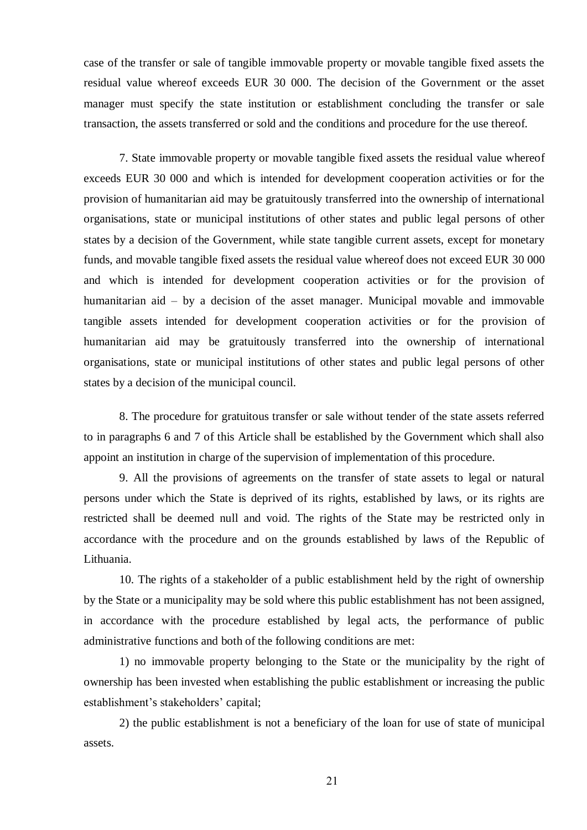case of the transfer or sale of tangible immovable property or movable tangible fixed assets the residual value whereof exceeds EUR 30 000. The decision of the Government or the asset manager must specify the state institution or establishment concluding the transfer or sale transaction, the assets transferred or sold and the conditions and procedure for the use thereof.

7. State immovable property or movable tangible fixed assets the residual value whereof exceeds EUR 30 000 and which is intended for development cooperation activities or for the provision of humanitarian aid may be gratuitously transferred into the ownership of international organisations, state or municipal institutions of other states and public legal persons of other states by a decision of the Government, while state tangible current assets, except for monetary funds, and movable tangible fixed assets the residual value whereof does not exceed EUR 30 000 and which is intended for development cooperation activities or for the provision of humanitarian aid – by a decision of the asset manager. Municipal movable and immovable tangible assets intended for development cooperation activities or for the provision of humanitarian aid may be gratuitously transferred into the ownership of international organisations, state or municipal institutions of other states and public legal persons of other states by a decision of the municipal council.

8. The procedure for gratuitous transfer or sale without tender of the state assets referred to in paragraphs 6 and 7 of this Article shall be established by the Government which shall also appoint an institution in charge of the supervision of implementation of this procedure.

9. All the provisions of agreements on the transfer of state assets to legal or natural persons under which the State is deprived of its rights, established by laws, or its rights are restricted shall be deemed null and void. The rights of the State may be restricted only in accordance with the procedure and on the grounds established by laws of the Republic of Lithuania.

10. The rights of a stakeholder of a public establishment held by the right of ownership by the State or a municipality may be sold where this public establishment has not been assigned, in accordance with the procedure established by legal acts, the performance of public administrative functions and both of the following conditions are met:

1) no immovable property belonging to the State or the municipality by the right of ownership has been invested when establishing the public establishment or increasing the public establishment's stakeholders' capital;

2) the public establishment is not a beneficiary of the loan for use of state of municipal assets.

21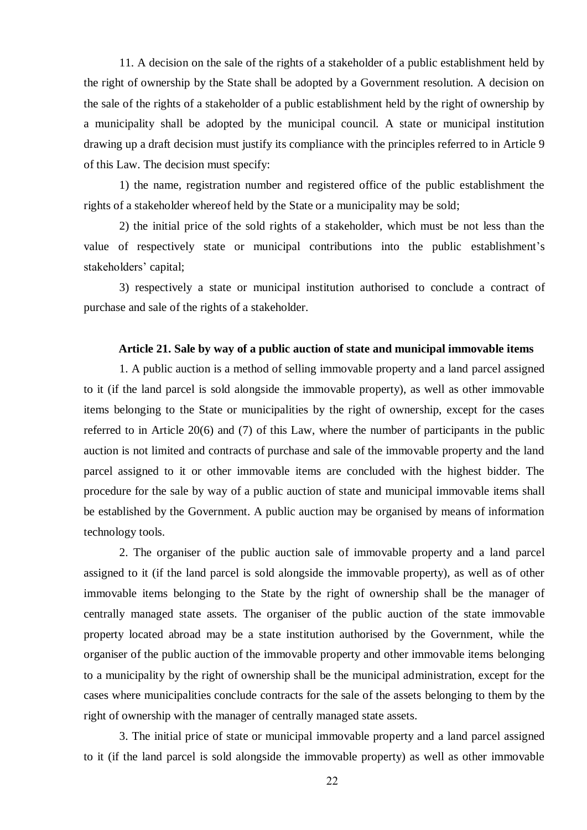11. A decision on the sale of the rights of a stakeholder of a public establishment held by the right of ownership by the State shall be adopted by a Government resolution. A decision on the sale of the rights of a stakeholder of a public establishment held by the right of ownership by a municipality shall be adopted by the municipal council. A state or municipal institution drawing up a draft decision must justify its compliance with the principles referred to in Article 9 of this Law. The decision must specify:

1) the name, registration number and registered office of the public establishment the rights of a stakeholder whereof held by the State or a municipality may be sold;

2) the initial price of the sold rights of a stakeholder, which must be not less than the value of respectively state or municipal contributions into the public establishment's stakeholders' capital;

3) respectively a state or municipal institution authorised to conclude a contract of purchase and sale of the rights of a stakeholder.

#### **Article 21. Sale by way of a public auction of state and municipal immovable items**

1. A public auction is a method of selling immovable property and a land parcel assigned to it (if the land parcel is sold alongside the immovable property), as well as other immovable items belonging to the State or municipalities by the right of ownership, except for the cases referred to in Article 20(6) and (7) of this Law, where the number of participants in the public auction is not limited and contracts of purchase and sale of the immovable property and the land parcel assigned to it or other immovable items are concluded with the highest bidder. The procedure for the sale by way of a public auction of state and municipal immovable items shall be established by the Government. A public auction may be organised by means of information technology tools.

2. The organiser of the public auction sale of immovable property and a land parcel assigned to it (if the land parcel is sold alongside the immovable property), as well as of other immovable items belonging to the State by the right of ownership shall be the manager of centrally managed state assets. The organiser of the public auction of the state immovable property located abroad may be a state institution authorised by the Government, while the organiser of the public auction of the immovable property and other immovable items belonging to a municipality by the right of ownership shall be the municipal administration, except for the cases where municipalities conclude contracts for the sale of the assets belonging to them by the right of ownership with the manager of centrally managed state assets.

3. The initial price of state or municipal immovable property and a land parcel assigned to it (if the land parcel is sold alongside the immovable property) as well as other immovable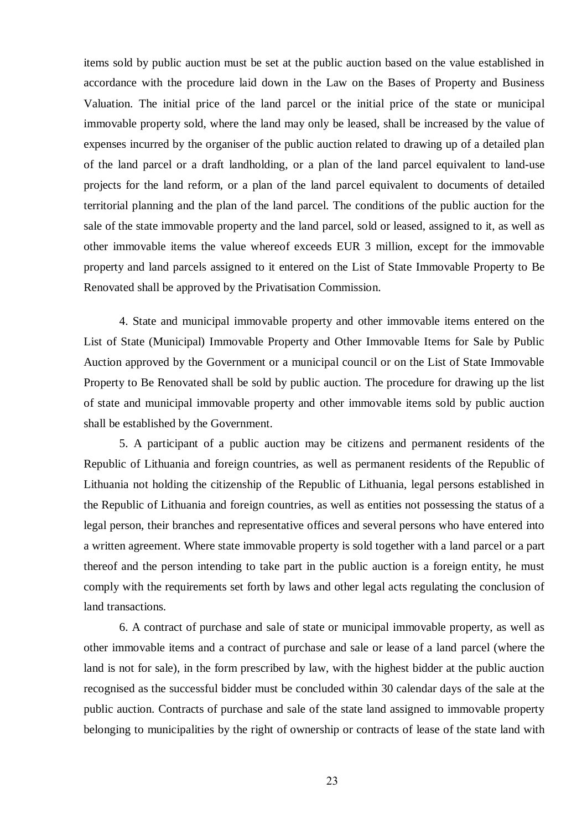items sold by public auction must be set at the public auction based on the value established in accordance with the procedure laid down in the Law on the Bases of Property and Business Valuation. The initial price of the land parcel or the initial price of the state or municipal immovable property sold, where the land may only be leased, shall be increased by the value of expenses incurred by the organiser of the public auction related to drawing up of a detailed plan of the land parcel or a draft landholding, or a plan of the land parcel equivalent to land-use projects for the land reform, or a plan of the land parcel equivalent to documents of detailed territorial planning and the plan of the land parcel. The conditions of the public auction for the sale of the state immovable property and the land parcel, sold or leased, assigned to it, as well as other immovable items the value whereof exceeds EUR 3 million, except for the immovable property and land parcels assigned to it entered on the List of State Immovable Property to Be Renovated shall be approved by the Privatisation Commission.

4. State and municipal immovable property and other immovable items entered on the List of State (Municipal) Immovable Property and Other Immovable Items for Sale by Public Auction approved by the Government or a municipal council or on the List of State Immovable Property to Be Renovated shall be sold by public auction. The procedure for drawing up the list of state and municipal immovable property and other immovable items sold by public auction shall be established by the Government.

5. A participant of a public auction may be citizens and permanent residents of the Republic of Lithuania and foreign countries, as well as permanent residents of the Republic of Lithuania not holding the citizenship of the Republic of Lithuania, legal persons established in the Republic of Lithuania and foreign countries, as well as entities not possessing the status of a legal person, their branches and representative offices and several persons who have entered into a written agreement. Where state immovable property is sold together with a land parcel or a part thereof and the person intending to take part in the public auction is a foreign entity, he must comply with the requirements set forth by laws and other legal acts regulating the conclusion of land transactions.

6. A contract of purchase and sale of state or municipal immovable property, as well as other immovable items and a contract of purchase and sale or lease of a land parcel (where the land is not for sale), in the form prescribed by law, with the highest bidder at the public auction recognised as the successful bidder must be concluded within 30 calendar days of the sale at the public auction. Contracts of purchase and sale of the state land assigned to immovable property belonging to municipalities by the right of ownership or contracts of lease of the state land with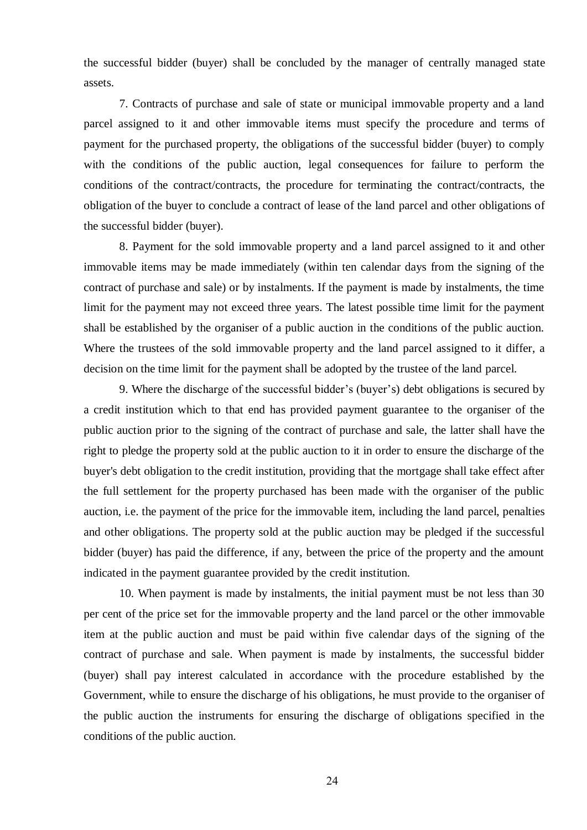the successful bidder (buyer) shall be concluded by the manager of centrally managed state assets.

7. Contracts of purchase and sale of state or municipal immovable property and a land parcel assigned to it and other immovable items must specify the procedure and terms of payment for the purchased property, the obligations of the successful bidder (buyer) to comply with the conditions of the public auction, legal consequences for failure to perform the conditions of the contract/contracts, the procedure for terminating the contract/contracts, the obligation of the buyer to conclude a contract of lease of the land parcel and other obligations of the successful bidder (buyer).

8. Payment for the sold immovable property and a land parcel assigned to it and other immovable items may be made immediately (within ten calendar days from the signing of the contract of purchase and sale) or by instalments. If the payment is made by instalments, the time limit for the payment may not exceed three years. The latest possible time limit for the payment shall be established by the organiser of a public auction in the conditions of the public auction. Where the trustees of the sold immovable property and the land parcel assigned to it differ, a decision on the time limit for the payment shall be adopted by the trustee of the land parcel.

9. Where the discharge of the successful bidder's (buyer's) debt obligations is secured by a credit institution which to that end has provided payment guarantee to the organiser of the public auction prior to the signing of the contract of purchase and sale, the latter shall have the right to pledge the property sold at the public auction to it in order to ensure the discharge of the buyer's debt obligation to the credit institution, providing that the mortgage shall take effect after the full settlement for the property purchased has been made with the organiser of the public auction, i.e. the payment of the price for the immovable item, including the land parcel, penalties and other obligations. The property sold at the public auction may be pledged if the successful bidder (buyer) has paid the difference, if any, between the price of the property and the amount indicated in the payment guarantee provided by the credit institution.

10. When payment is made by instalments, the initial payment must be not less than 30 per cent of the price set for the immovable property and the land parcel or the other immovable item at the public auction and must be paid within five calendar days of the signing of the contract of purchase and sale. When payment is made by instalments, the successful bidder (buyer) shall pay interest calculated in accordance with the procedure established by the Government, while to ensure the discharge of his obligations, he must provide to the organiser of the public auction the instruments for ensuring the discharge of obligations specified in the conditions of the public auction.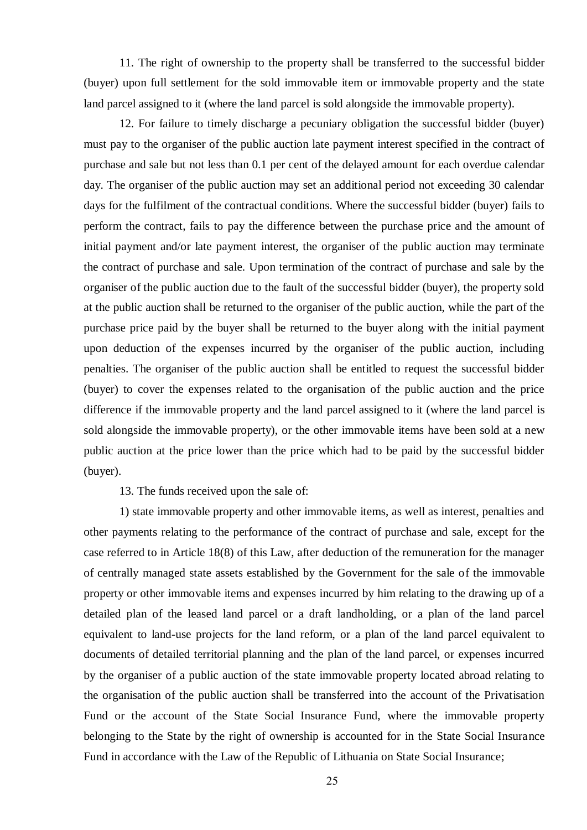11. The right of ownership to the property shall be transferred to the successful bidder (buyer) upon full settlement for the sold immovable item or immovable property and the state land parcel assigned to it (where the land parcel is sold alongside the immovable property).

12. For failure to timely discharge a pecuniary obligation the successful bidder (buyer) must pay to the organiser of the public auction late payment interest specified in the contract of purchase and sale but not less than 0.1 per cent of the delayed amount for each overdue calendar day. The organiser of the public auction may set an additional period not exceeding 30 calendar days for the fulfilment of the contractual conditions. Where the successful bidder (buyer) fails to perform the contract, fails to pay the difference between the purchase price and the amount of initial payment and/or late payment interest, the organiser of the public auction may terminate the contract of purchase and sale. Upon termination of the contract of purchase and sale by the organiser of the public auction due to the fault of the successful bidder (buyer), the property sold at the public auction shall be returned to the organiser of the public auction, while the part of the purchase price paid by the buyer shall be returned to the buyer along with the initial payment upon deduction of the expenses incurred by the organiser of the public auction, including penalties. The organiser of the public auction shall be entitled to request the successful bidder (buyer) to cover the expenses related to the organisation of the public auction and the price difference if the immovable property and the land parcel assigned to it (where the land parcel is sold alongside the immovable property), or the other immovable items have been sold at a new public auction at the price lower than the price which had to be paid by the successful bidder (buyer).

13. The funds received upon the sale of:

1) state immovable property and other immovable items, as well as interest, penalties and other payments relating to the performance of the contract of purchase and sale, except for the case referred to in Article 18(8) of this Law, after deduction of the remuneration for the manager of centrally managed state assets established by the Government for the sale of the immovable property or other immovable items and expenses incurred by him relating to the drawing up of a detailed plan of the leased land parcel or a draft landholding, or a plan of the land parcel equivalent to land-use projects for the land reform, or a plan of the land parcel equivalent to documents of detailed territorial planning and the plan of the land parcel, or expenses incurred by the organiser of a public auction of the state immovable property located abroad relating to the organisation of the public auction shall be transferred into the account of the Privatisation Fund or the account of the State Social Insurance Fund, where the immovable property belonging to the State by the right of ownership is accounted for in the State Social Insurance Fund in accordance with the Law of the Republic of Lithuania on State Social Insurance;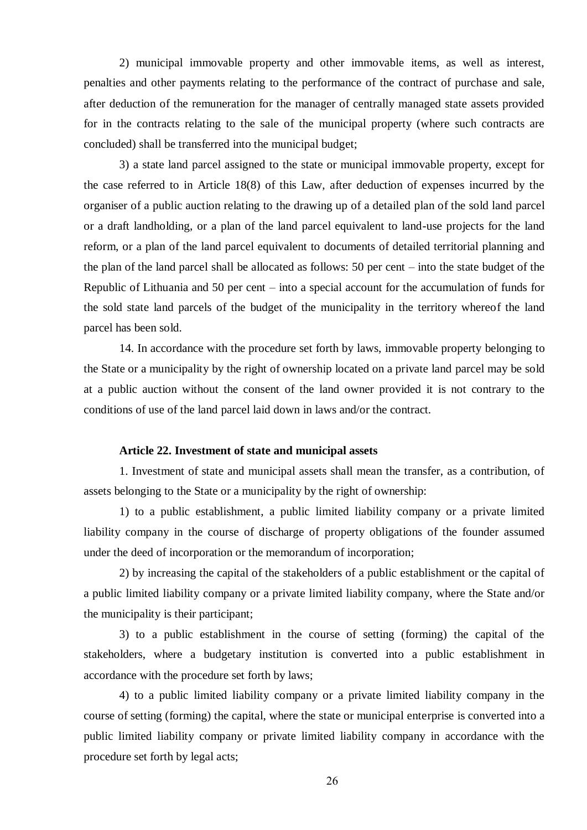2) municipal immovable property and other immovable items, as well as interest, penalties and other payments relating to the performance of the contract of purchase and sale, after deduction of the remuneration for the manager of centrally managed state assets provided for in the contracts relating to the sale of the municipal property (where such contracts are concluded) shall be transferred into the municipal budget;

3) a state land parcel assigned to the state or municipal immovable property, except for the case referred to in Article 18(8) of this Law, after deduction of expenses incurred by the organiser of a public auction relating to the drawing up of a detailed plan of the sold land parcel or a draft landholding, or a plan of the land parcel equivalent to land-use projects for the land reform, or a plan of the land parcel equivalent to documents of detailed territorial planning and the plan of the land parcel shall be allocated as follows: 50 per cent – into the state budget of the Republic of Lithuania and 50 per cent – into a special account for the accumulation of funds for the sold state land parcels of the budget of the municipality in the territory whereof the land parcel has been sold.

14. In accordance with the procedure set forth by laws, immovable property belonging to the State or a municipality by the right of ownership located on a private land parcel may be sold at a public auction without the consent of the land owner provided it is not contrary to the conditions of use of the land parcel laid down in laws and/or the contract.

#### **Article 22. Investment of state and municipal assets**

1. Investment of state and municipal assets shall mean the transfer, as a contribution, of assets belonging to the State or a municipality by the right of ownership:

1) to a public establishment, a public limited liability company or a private limited liability company in the course of discharge of property obligations of the founder assumed under the deed of incorporation or the memorandum of incorporation;

2) by increasing the capital of the stakeholders of a public establishment or the capital of a public limited liability company or a private limited liability company, where the State and/or the municipality is their participant;

3) to a public establishment in the course of setting (forming) the capital of the stakeholders, where a budgetary institution is converted into a public establishment in accordance with the procedure set forth by laws;

4) to a public limited liability company or a private limited liability company in the course of setting (forming) the capital, where the state or municipal enterprise is converted into a public limited liability company or private limited liability company in accordance with the procedure set forth by legal acts;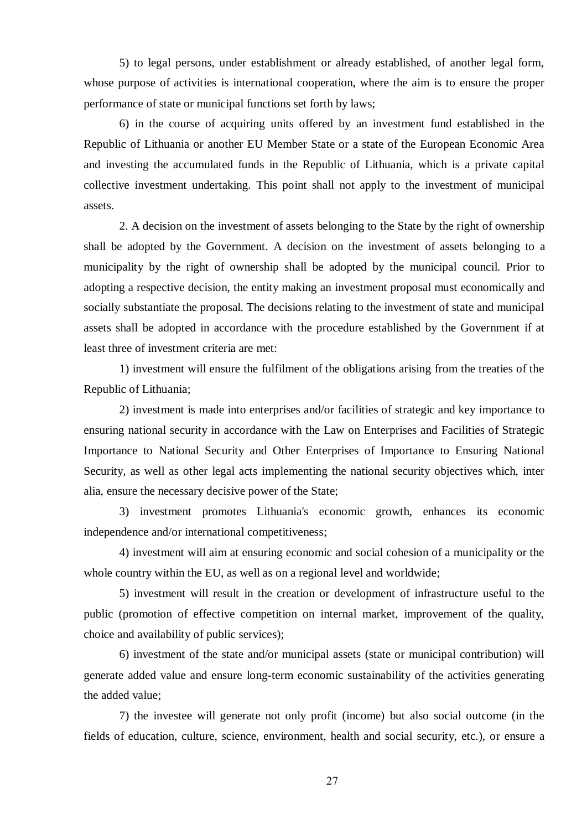5) to legal persons, under establishment or already established, of another legal form, whose purpose of activities is international cooperation, where the aim is to ensure the proper performance of state or municipal functions set forth by laws;

6) in the course of acquiring units offered by an investment fund established in the Republic of Lithuania or another EU Member State or a state of the European Economic Area and investing the accumulated funds in the Republic of Lithuania, which is a private capital collective investment undertaking. This point shall not apply to the investment of municipal assets.

2. A decision on the investment of assets belonging to the State by the right of ownership shall be adopted by the Government. A decision on the investment of assets belonging to a municipality by the right of ownership shall be adopted by the municipal council. Prior to adopting a respective decision, the entity making an investment proposal must economically and socially substantiate the proposal. The decisions relating to the investment of state and municipal assets shall be adopted in accordance with the procedure established by the Government if at least three of investment criteria are met:

1) investment will ensure the fulfilment of the obligations arising from the treaties of the Republic of Lithuania;

2) investment is made into enterprises and/or facilities of strategic and key importance to ensuring national security in accordance with the Law on Enterprises and Facilities of Strategic Importance to National Security and Other Enterprises of Importance to Ensuring National Security, as well as other legal acts implementing the national security objectives which, inter alia, ensure the necessary decisive power of the State;

3) investment promotes Lithuania's economic growth, enhances its economic independence and/or international competitiveness;

4) investment will aim at ensuring economic and social cohesion of a municipality or the whole country within the EU, as well as on a regional level and worldwide;

5) investment will result in the creation or development of infrastructure useful to the public (promotion of effective competition on internal market, improvement of the quality, choice and availability of public services);

6) investment of the state and/or municipal assets (state or municipal contribution) will generate added value and ensure long-term economic sustainability of the activities generating the added value;

7) the investee will generate not only profit (income) but also social outcome (in the fields of education, culture, science, environment, health and social security, etc.), or ensure a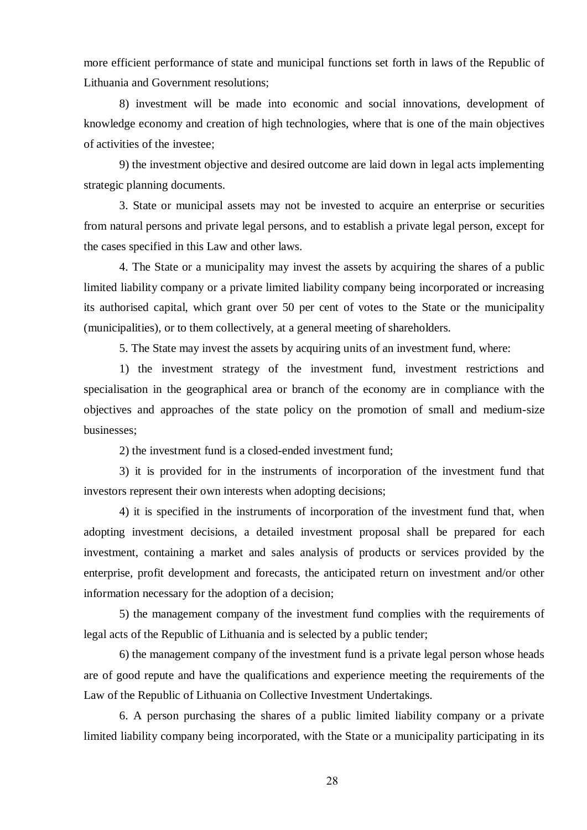more efficient performance of state and municipal functions set forth in laws of the Republic of Lithuania and Government resolutions;

8) investment will be made into economic and social innovations, development of knowledge economy and creation of high technologies, where that is one of the main objectives of activities of the investee;

9) the investment objective and desired outcome are laid down in legal acts implementing strategic planning documents.

3. State or municipal assets may not be invested to acquire an enterprise or securities from natural persons and private legal persons, and to establish a private legal person, except for the cases specified in this Law and other laws.

4. The State or a municipality may invest the assets by acquiring the shares of a public limited liability company or a private limited liability company being incorporated or increasing its authorised capital, which grant over 50 per cent of votes to the State or the municipality (municipalities), or to them collectively, at a general meeting of shareholders.

5. The State may invest the assets by acquiring units of an investment fund, where:

1) the investment strategy of the investment fund, investment restrictions and specialisation in the geographical area or branch of the economy are in compliance with the objectives and approaches of the state policy on the promotion of small and medium-size businesses;

2) the investment fund is a closed-ended investment fund;

3) it is provided for in the instruments of incorporation of the investment fund that investors represent their own interests when adopting decisions;

4) it is specified in the instruments of incorporation of the investment fund that, when adopting investment decisions, a detailed investment proposal shall be prepared for each investment, containing a market and sales analysis of products or services provided by the enterprise, profit development and forecasts, the anticipated return on investment and/or other information necessary for the adoption of a decision;

5) the management company of the investment fund complies with the requirements of legal acts of the Republic of Lithuania and is selected by a public tender;

6) the management company of the investment fund is a private legal person whose heads are of good repute and have the qualifications and experience meeting the requirements of the Law of the Republic of Lithuania on Collective Investment Undertakings.

6. A person purchasing the shares of a public limited liability company or a private limited liability company being incorporated, with the State or a municipality participating in its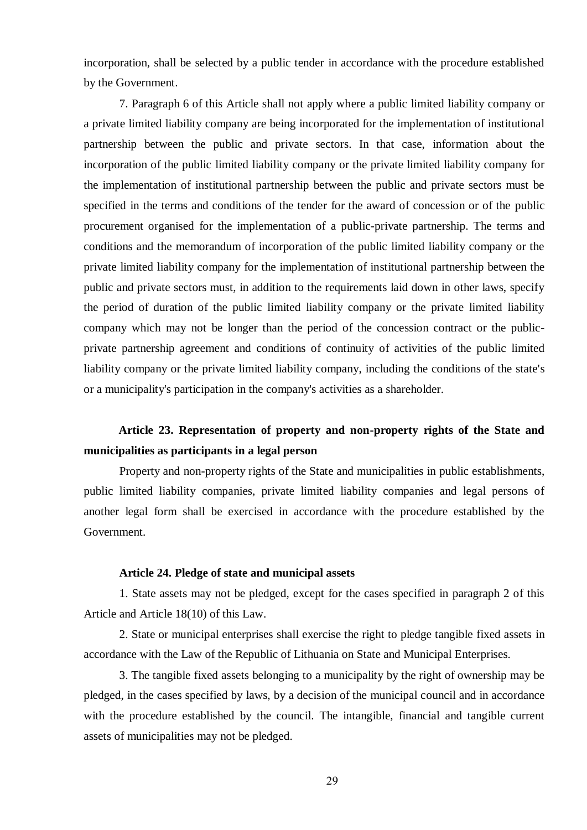incorporation, shall be selected by a public tender in accordance with the procedure established by the Government.

7. Paragraph 6 of this Article shall not apply where a public limited liability company or a private limited liability company are being incorporated for the implementation of institutional partnership between the public and private sectors. In that case, information about the incorporation of the public limited liability company or the private limited liability company for the implementation of institutional partnership between the public and private sectors must be specified in the terms and conditions of the tender for the award of concession or of the public procurement organised for the implementation of a public-private partnership. The terms and conditions and the memorandum of incorporation of the public limited liability company or the private limited liability company for the implementation of institutional partnership between the public and private sectors must, in addition to the requirements laid down in other laws, specify the period of duration of the public limited liability company or the private limited liability company which may not be longer than the period of the concession contract or the publicprivate partnership agreement and conditions of continuity of activities of the public limited liability company or the private limited liability company, including the conditions of the state's or a municipality's participation in the company's activities as a shareholder.

# **Article 23. Representation of property and non-property rights of the State and municipalities as participants in a legal person**

Property and non-property rights of the State and municipalities in public establishments, public limited liability companies, private limited liability companies and legal persons of another legal form shall be exercised in accordance with the procedure established by the Government.

### **Article 24. Pledge of state and municipal assets**

1. State assets may not be pledged, except for the cases specified in paragraph 2 of this Article and Article 18(10) of this Law.

2. State or municipal enterprises shall exercise the right to pledge tangible fixed assets in accordance with the Law of the Republic of Lithuania on State and Municipal Enterprises.

3. The tangible fixed assets belonging to a municipality by the right of ownership may be pledged, in the cases specified by laws, by a decision of the municipal council and in accordance with the procedure established by the council. The intangible, financial and tangible current assets of municipalities may not be pledged.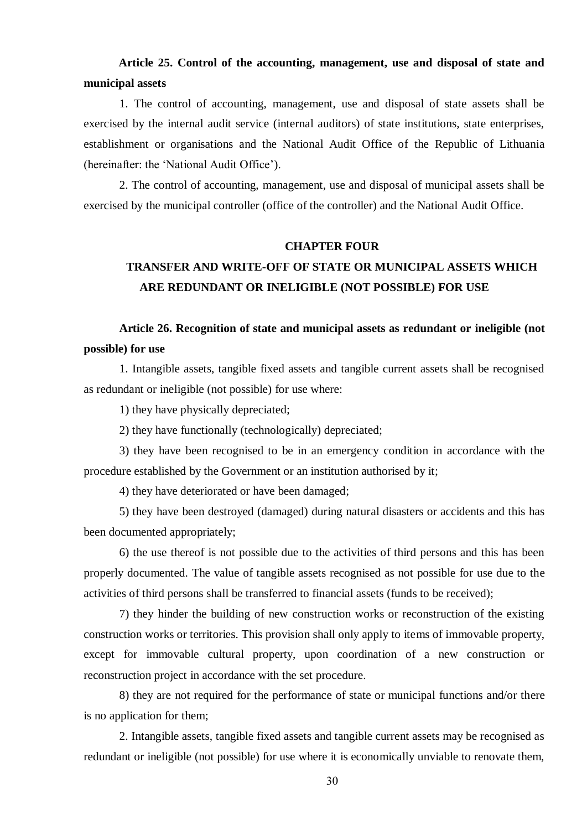# **Article 25. Control of the accounting, management, use and disposal of state and municipal assets**

1. The control of accounting, management, use and disposal of state assets shall be exercised by the internal audit service (internal auditors) of state institutions, state enterprises, establishment or organisations and the National Audit Office of the Republic of Lithuania (hereinafter: the 'National Audit Office').

2. The control of accounting, management, use and disposal of municipal assets shall be exercised by the municipal controller (office of the controller) and the National Audit Office.

## **CHAPTER FOUR**

# **TRANSFER AND WRITE-OFF OF STATE OR MUNICIPAL ASSETS WHICH ARE REDUNDANT OR INELIGIBLE (NOT POSSIBLE) FOR USE**

# **Article 26. Recognition of state and municipal assets as redundant or ineligible (not possible) for use**

1. Intangible assets, tangible fixed assets and tangible current assets shall be recognised as redundant or ineligible (not possible) for use where:

1) they have physically depreciated;

2) they have functionally (technologically) depreciated;

3) they have been recognised to be in an emergency condition in accordance with the procedure established by the Government or an institution authorised by it;

4) they have deteriorated or have been damaged;

5) they have been destroyed (damaged) during natural disasters or accidents and this has been documented appropriately;

6) the use thereof is not possible due to the activities of third persons and this has been properly documented. The value of tangible assets recognised as not possible for use due to the activities of third persons shall be transferred to financial assets (funds to be received);

7) they hinder the building of new construction works or reconstruction of the existing construction works or territories. This provision shall only apply to items of immovable property, except for immovable cultural property, upon coordination of a new construction or reconstruction project in accordance with the set procedure.

8) they are not required for the performance of state or municipal functions and/or there is no application for them;

2. Intangible assets, tangible fixed assets and tangible current assets may be recognised as redundant or ineligible (not possible) for use where it is economically unviable to renovate them,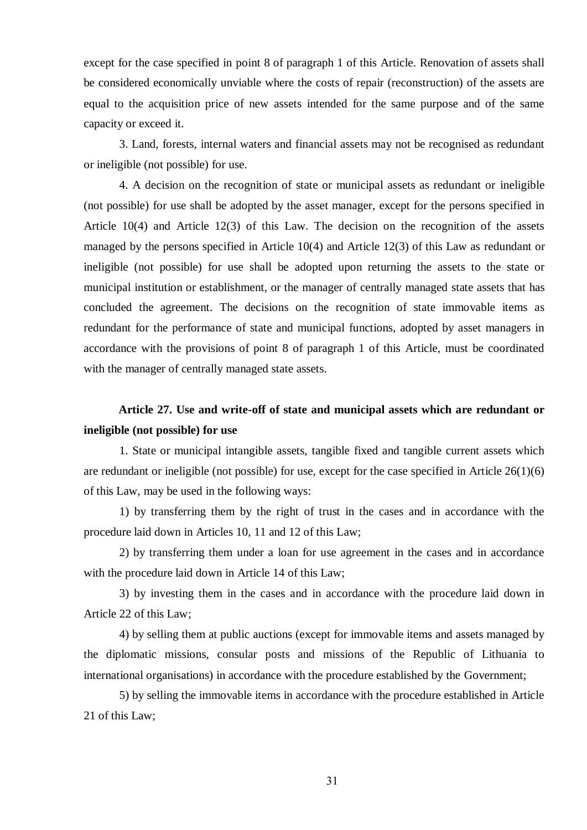except for the case specified in point 8 of paragraph 1 of this Article. Renovation of assets shall be considered economically unviable where the costs of repair (reconstruction) of the assets are equal to the acquisition price of new assets intended for the same purpose and of the same capacity or exceed it.

3. Land, forests, internal waters and financial assets may not be recognised as redundant or ineligible (not possible) for use.

4. A decision on the recognition of state or municipal assets as redundant or ineligible (not possible) for use shall be adopted by the asset manager, except for the persons specified in Article 10(4) and Article 12(3) of this Law. The decision on the recognition of the assets managed by the persons specified in Article 10(4) and Article 12(3) of this Law as redundant or ineligible (not possible) for use shall be adopted upon returning the assets to the state or municipal institution or establishment, or the manager of centrally managed state assets that has concluded the agreement. The decisions on the recognition of state immovable items as redundant for the performance of state and municipal functions, adopted by asset managers in accordance with the provisions of point 8 of paragraph 1 of this Article, must be coordinated with the manager of centrally managed state assets.

# **Article 27. Use and write-off of state and municipal assets which are redundant or ineligible (not possible) for use**

1. State or municipal intangible assets, tangible fixed and tangible current assets which are redundant or ineligible (not possible) for use, except for the case specified in Article 26(1)(6) of this Law, may be used in the following ways:

1) by transferring them by the right of trust in the cases and in accordance with the procedure laid down in Articles 10, 11 and 12 of this Law;

2) by transferring them under a loan for use agreement in the cases and in accordance with the procedure laid down in Article 14 of this Law;

3) by investing them in the cases and in accordance with the procedure laid down in Article 22 of this Law;

4) by selling them at public auctions (except for immovable items and assets managed by the diplomatic missions, consular posts and missions of the Republic of Lithuania to international organisations) in accordance with the procedure established by the Government;

5) by selling the immovable items in accordance with the procedure established in Article 21 of this Law;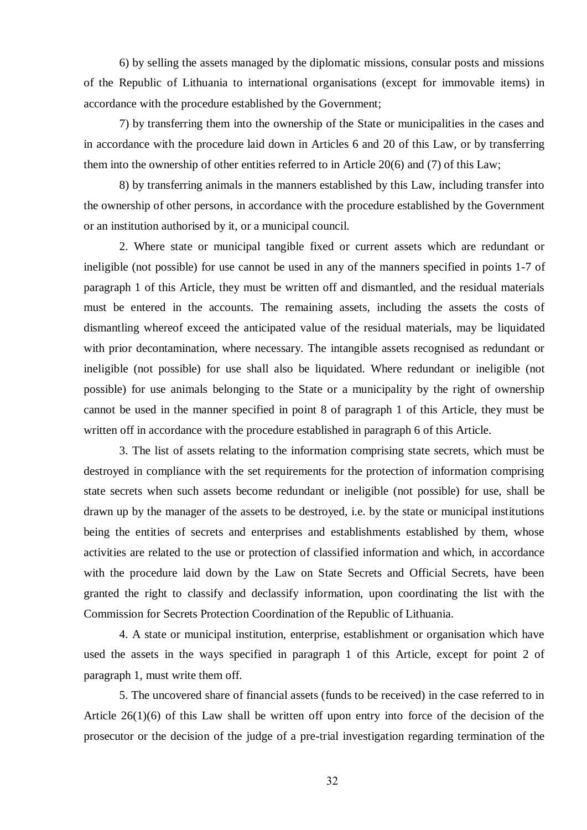6) by selling the assets managed by the diplomatic missions, consular posts and missions of the Republic of Lithuania to international organisations (except for immovable items) in accordance with the procedure established by the Government;

7) by transferring them into the ownership of the State or municipalities in the cases and in accordance with the procedure laid down in Articles 6 and 20 of this Law, or by transferring them into the ownership of other entities referred to in Article 20(6) and (7) of this Law;

8) by transferring animals in the manners established by this Law, including transfer into the ownership of other persons, in accordance with the procedure established by the Government or an institution authorised by it, or a municipal council.

2. Where state or municipal tangible fixed or current assets which are redundant or ineligible (not possible) for use cannot be used in any of the manners specified in points 1-7 of paragraph 1 of this Article, they must be written off and dismantled, and the residual materials must be entered in the accounts. The remaining assets, including the assets the costs of dismantling whereof exceed the anticipated value of the residual materials, may be liquidated with prior decontamination, where necessary. The intangible assets recognised as redundant or ineligible (not possible) for use shall also be liquidated. Where redundant or ineligible (not possible) for use animals belonging to the State or a municipality by the right of ownership cannot be used in the manner specified in point 8 of paragraph 1 of this Article, they must be written off in accordance with the procedure established in paragraph 6 of this Article.

3. The list of assets relating to the information comprising state secrets, which must be destroyed in compliance with the set requirements for the protection of information comprising state secrets when such assets become redundant or ineligible (not possible) for use, shall be drawn up by the manager of the assets to be destroyed, i.e. by the state or municipal institutions being the entities of secrets and enterprises and establishments established by them, whose activities are related to the use or protection of classified information and which, in accordance with the procedure laid down by the Law on State Secrets and Official Secrets, have been granted the right to classify and declassify information, upon coordinating the list with the Commission for Secrets Protection Coordination of the Republic of Lithuania.

4. A state or municipal institution, enterprise, establishment or organisation which have used the assets in the ways specified in paragraph 1 of this Article, except for point 2 of paragraph 1, must write them off.

5. The uncovered share of financial assets (funds to be received) in the case referred to in Article 26(1)(6) of this Law shall be written off upon entry into force of the decision of the prosecutor or the decision of the judge of a pre-trial investigation regarding termination of the